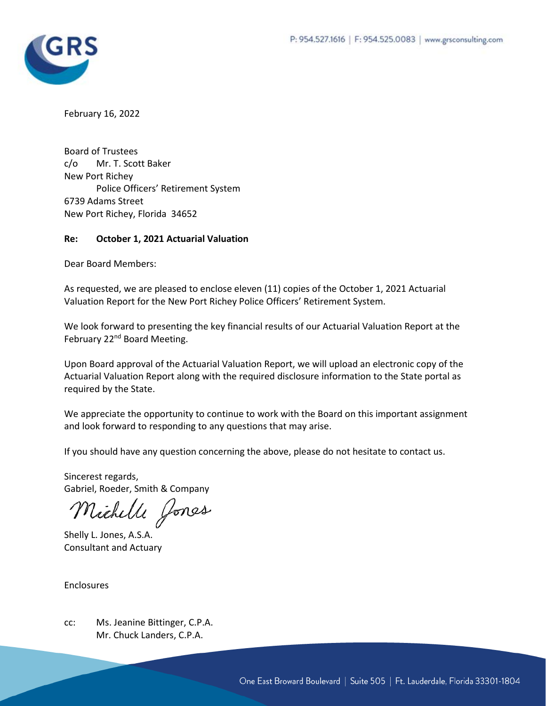

February 16, 2022

Board of Trustees c/o Mr. T. Scott Baker New Port Richey Police Officers' Retirement System 6739 Adams Street New Port Richey, Florida 34652

#### **Re: October 1, 2021 Actuarial Valuation**

Dear Board Members:

As requested, we are pleased to enclose eleven (11) copies of the October 1, 2021 Actuarial Valuation Report for the New Port Richey Police Officers' Retirement System.

We look forward to presenting the key financial results of our Actuarial Valuation Report at the February 22<sup>nd</sup> Board Meeting.

Upon Board approval of the Actuarial Valuation Report, we will upload an electronic copy of the Actuarial Valuation Report along with the required disclosure information to the State portal as required by the State.

We appreciate the opportunity to continue to work with the Board on this important assignment and look forward to responding to any questions that may arise.

If you should have any question concerning the above, please do not hesitate to contact us.

Sincerest regards, Gabriel, Roeder, Smith & Company

lle Jones

Shelly L. Jones, A.S.A. Consultant and Actuary

Enclosures

cc: Ms. Jeanine Bittinger, C.P.A. Mr. Chuck Landers, C.P.A.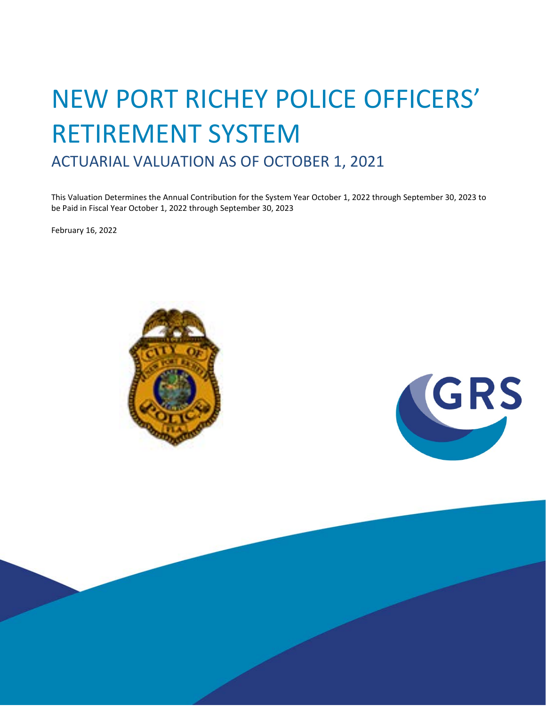# NEW PORT RICHEY POLICE OFFICERS' RETIREMENT SYSTEM ACTUARIAL VALUATION AS OF OCTOBER 1, 2021

This Valuation Determines the Annual Contribution for the System Year October 1, 2022 through September 30, 2023 to be Paid in Fiscal Year October 1, 2022 through September 30, 2023

February 16, 2022



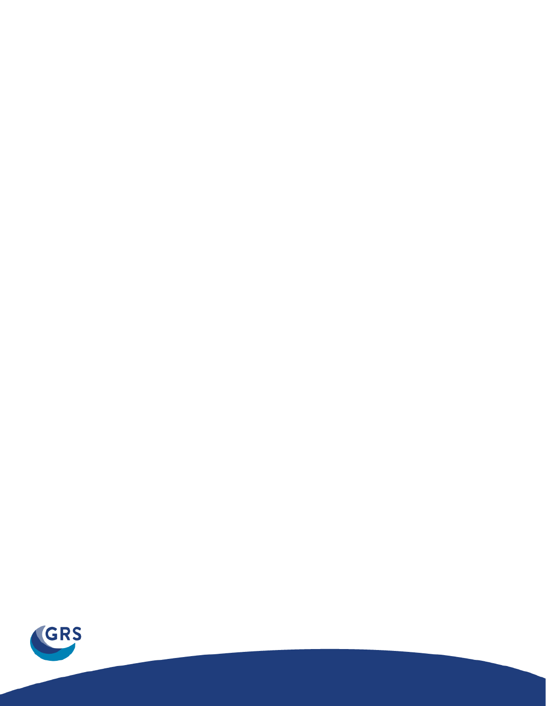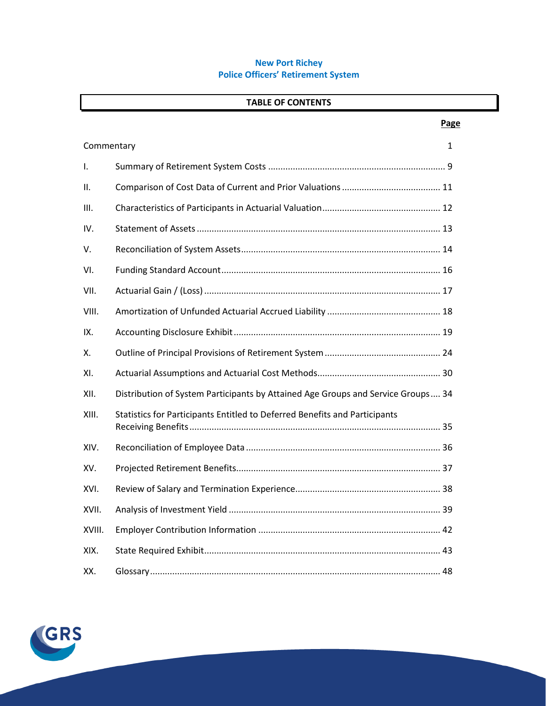## **New Port Richey Police Officers' Retirement System**

## **TABLE OF CONTENTS**

|            |                                                                                  | <b>Page</b> |
|------------|----------------------------------------------------------------------------------|-------------|
| Commentary |                                                                                  | 1           |
| I.         |                                                                                  |             |
| Ш.         |                                                                                  |             |
| III.       |                                                                                  |             |
| IV.        |                                                                                  |             |
| V.         |                                                                                  |             |
| VI.        |                                                                                  |             |
| VII.       |                                                                                  |             |
| VIII.      |                                                                                  |             |
| IX.        |                                                                                  |             |
| Х.         |                                                                                  |             |
| XI.        |                                                                                  |             |
| XII.       | Distribution of System Participants by Attained Age Groups and Service Groups 34 |             |
| XIII.      | Statistics for Participants Entitled to Deferred Benefits and Participants       |             |
| XIV.       |                                                                                  |             |
| XV.        |                                                                                  |             |
| XVI.       |                                                                                  |             |
| XVII.      |                                                                                  |             |
| XVIII.     |                                                                                  |             |
| XIX.       |                                                                                  |             |
| XX.        |                                                                                  |             |

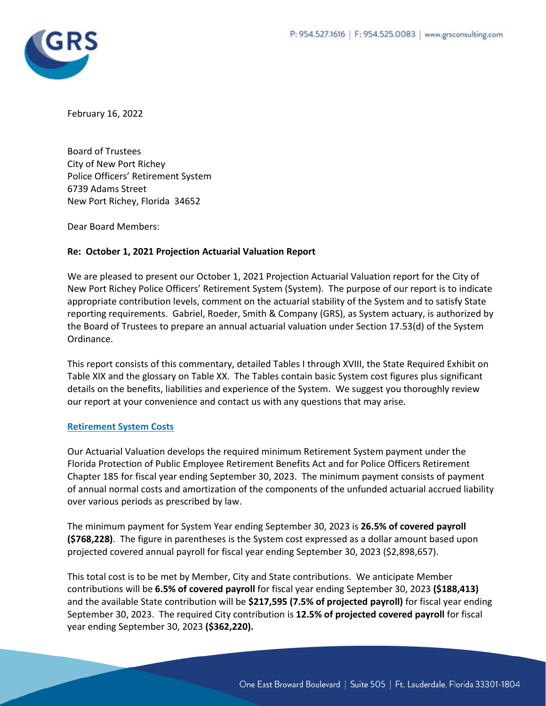

February 16, 2022

Board of Trustees City of New Port Richey Police Officers' Retirement System 6739 Adams Street New Port Richey, Florida 34652

Dear Board Members:

#### **Re: October 1, 2021 Projection Actuarial Valuation Report**

We are pleased to present our October 1, 2021 Projection Actuarial Valuation report for the City of New Port Richey Police Officers' Retirement System (System). The purpose of our report is to indicate appropriate contribution levels, comment on the actuarial stability of the System and to satisfy State reporting requirements. Gabriel, Roeder, Smith & Company (GRS), as System actuary, is authorized by the Board of Trustees to prepare an annual actuarial valuation under Section 17.53(d) of the System Ordinance.

This report consists of this commentary, detailed Tables I through XVIII, the State Required Exhibit on Table XIX and the glossary on Table XX. The Tables contain basic System cost figures plus significant details on the benefits, liabilities and experience of the System. We suggest you thoroughly review our report at your convenience and contact us with any questions that may arise.

#### **Retirement System Costs**

Our Actuarial Valuation develops the required minimum Retirement System payment under the Florida Protection of Public Employee Retirement Benefits Act and for Police Officers Retirement Chapter 185 for fiscal year ending September 30, 2023. The minimum payment consists of payment of annual normal costs and amortization of the components of the unfunded actuarial accrued liability over various periods as prescribed by law.

The minimum payment for System Year ending September 30, 2023 is **26.5% of covered payroll (\$768,228)**. The figure in parentheses is the System cost expressed as a dollar amount based upon projected covered annual payroll for fiscal year ending September 30, 2023 (\$2,898,657).

This total cost is to be met by Member, City and State contributions. We anticipate Member contributions will be **6.5% of covered payroll** for fiscal year ending September 30, 2023 **(\$188,413)** and the available State contribution will be **\$217,595 (7.5% of projected payroll)** for fiscal year ending September 30, 2023. The required City contribution is **12.5% of projected covered payroll** for fiscal year ending September 30, 2023 **(\$362,220).**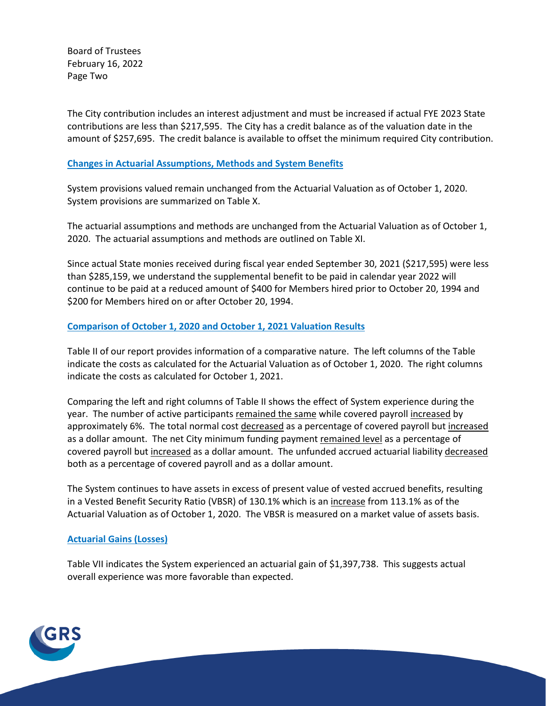Board of Trustees February 16, 2022 Page Two

The City contribution includes an interest adjustment and must be increased if actual FYE 2023 State contributions are less than \$217,595. The City has a credit balance as of the valuation date in the amount of \$257,695. The credit balance is available to offset the minimum required City contribution.

## **Changes in Actuarial Assumptions, Methods and System Benefits**

System provisions valued remain unchanged from the Actuarial Valuation as of October 1, 2020. System provisions are summarized on Table X.

The actuarial assumptions and methods are unchanged from the Actuarial Valuation as of October 1, 2020. The actuarial assumptions and methods are outlined on Table XI.

Since actual State monies received during fiscal year ended September 30, 2021 (\$217,595) were less than \$285,159, we understand the supplemental benefit to be paid in calendar year 2022 will continue to be paid at a reduced amount of \$400 for Members hired prior to October 20, 1994 and \$200 for Members hired on or after October 20, 1994.

## **Comparison of October 1, 2020 and October 1, 2021 Valuation Results**

Table II of our report provides information of a comparative nature. The left columns of the Table indicate the costs as calculated for the Actuarial Valuation as of October 1, 2020. The right columns indicate the costs as calculated for October 1, 2021.

Comparing the left and right columns of Table II shows the effect of System experience during the year. The number of active participants remained the same while covered payroll increased by approximately 6%. The total normal cost decreased as a percentage of covered payroll but increased as a dollar amount. The net City minimum funding payment remained level as a percentage of covered payroll but increased as a dollar amount. The unfunded accrued actuarial liability decreased both as a percentage of covered payroll and as a dollar amount.

The System continues to have assets in excess of present value of vested accrued benefits, resulting in a Vested Benefit Security Ratio (VBSR) of 130.1% which is an increase from 113.1% as of the Actuarial Valuation as of October 1, 2020. The VBSR is measured on a market value of assets basis.

## **Actuarial Gains (Losses)**

Table VII indicates the System experienced an actuarial gain of \$1,397,738. This suggests actual overall experience was more favorable than expected.

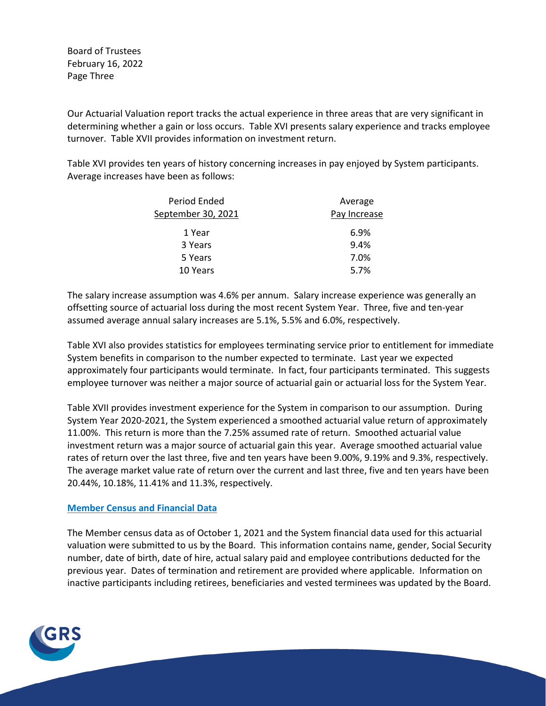Board of Trustees February 16, 2022 Page Three

Our Actuarial Valuation report tracks the actual experience in three areas that are very significant in determining whether a gain or loss occurs. Table XVI presents salary experience and tracks employee turnover. Table XVII provides information on investment return.

Table XVI provides ten years of history concerning increases in pay enjoyed by System participants. Average increases have been as follows:

| Period Ended       | Average      |
|--------------------|--------------|
| September 30, 2021 | Pay Increase |
| 1 Year             | 6.9%         |
| 3 Years            | 9.4%         |
| 5 Years            | 7.0%         |
| 10 Years           | 5.7%         |

The salary increase assumption was 4.6% per annum. Salary increase experience was generally an offsetting source of actuarial loss during the most recent System Year. Three, five and ten-year assumed average annual salary increases are 5.1%, 5.5% and 6.0%, respectively.

Table XVI also provides statistics for employees terminating service prior to entitlement for immediate System benefits in comparison to the number expected to terminate. Last year we expected approximately four participants would terminate. In fact, four participants terminated. This suggests employee turnover was neither a major source of actuarial gain or actuarial loss for the System Year.

Table XVII provides investment experience for the System in comparison to our assumption. During System Year 2020-2021, the System experienced a smoothed actuarial value return of approximately 11.00%. This return is more than the 7.25% assumed rate of return. Smoothed actuarial value investment return was a major source of actuarial gain this year. Average smoothed actuarial value rates of return over the last three, five and ten years have been 9.00%, 9.19% and 9.3%, respectively. The average market value rate of return over the current and last three, five and ten years have been 20.44%, 10.18%, 11.41% and 11.3%, respectively.

## **Member Census and Financial Data**

The Member census data as of October 1, 2021 and the System financial data used for this actuarial valuation were submitted to us by the Board. This information contains name, gender, Social Security number, date of birth, date of hire, actual salary paid and employee contributions deducted for the previous year. Dates of termination and retirement are provided where applicable. Information on inactive participants including retirees, beneficiaries and vested terminees was updated by the Board.

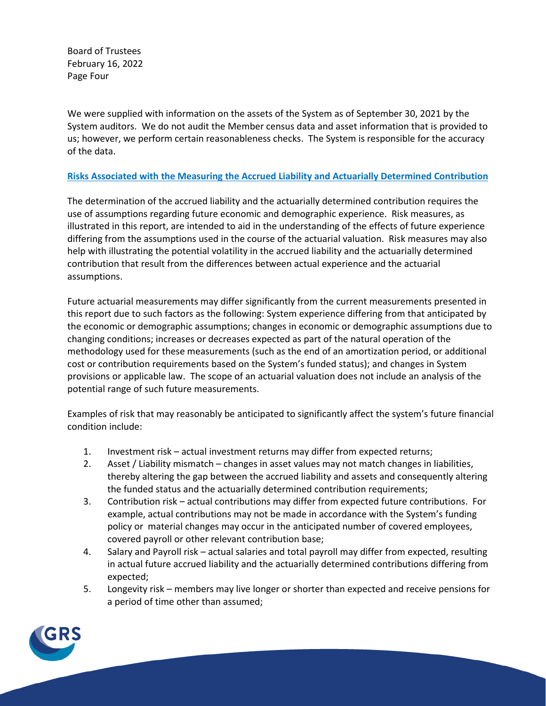Board of Trustees February 16, 2022 Page Four

We were supplied with information on the assets of the System as of September 30, 2021 by the System auditors. We do not audit the Member census data and asset information that is provided to us; however, we perform certain reasonableness checks. The System is responsible for the accuracy of the data.

## **Risks Associated with the Measuring the Accrued Liability and Actuarially Determined Contribution**

The determination of the accrued liability and the actuarially determined contribution requires the use of assumptions regarding future economic and demographic experience. Risk measures, as illustrated in this report, are intended to aid in the understanding of the effects of future experience differing from the assumptions used in the course of the actuarial valuation. Risk measures may also help with illustrating the potential volatility in the accrued liability and the actuarially determined contribution that result from the differences between actual experience and the actuarial assumptions.

Future actuarial measurements may differ significantly from the current measurements presented in this report due to such factors as the following: System experience differing from that anticipated by the economic or demographic assumptions; changes in economic or demographic assumptions due to changing conditions; increases or decreases expected as part of the natural operation of the methodology used for these measurements (such as the end of an amortization period, or additional cost or contribution requirements based on the System's funded status); and changes in System provisions or applicable law. The scope of an actuarial valuation does not include an analysis of the potential range of such future measurements.

Examples of risk that may reasonably be anticipated to significantly affect the system's future financial condition include:

- 1. Investment risk actual investment returns may differ from expected returns;
- 2. Asset / Liability mismatch changes in asset values may not match changes in liabilities, thereby altering the gap between the accrued liability and assets and consequently altering the funded status and the actuarially determined contribution requirements;
- 3. Contribution risk actual contributions may differ from expected future contributions. For example, actual contributions may not be made in accordance with the System's funding policy or material changes may occur in the anticipated number of covered employees, covered payroll or other relevant contribution base;
- 4. Salary and Payroll risk actual salaries and total payroll may differ from expected, resulting in actual future accrued liability and the actuarially determined contributions differing from expected;
- 5. Longevity risk members may live longer or shorter than expected and receive pensions for a period of time other than assumed;

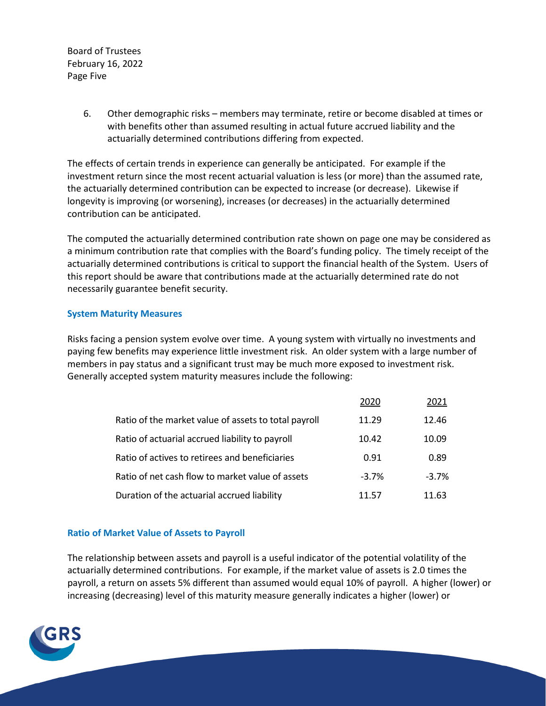Board of Trustees February 16, 2022 Page Five

> 6. Other demographic risks – members may terminate, retire or become disabled at times or with benefits other than assumed resulting in actual future accrued liability and the actuarially determined contributions differing from expected.

The effects of certain trends in experience can generally be anticipated. For example if the investment return since the most recent actuarial valuation is less (or more) than the assumed rate, the actuarially determined contribution can be expected to increase (or decrease). Likewise if longevity is improving (or worsening), increases (or decreases) in the actuarially determined contribution can be anticipated.

The computed the actuarially determined contribution rate shown on page one may be considered as a minimum contribution rate that complies with the Board's funding policy. The timely receipt of the actuarially determined contributions is critical to support the financial health of the System. Users of this report should be aware that contributions made at the actuarially determined rate do not necessarily guarantee benefit security.

## **System Maturity Measures**

Risks facing a pension system evolve over time. A young system with virtually no investments and paying few benefits may experience little investment risk. An older system with a large number of members in pay status and a significant trust may be much more exposed to investment risk. Generally accepted system maturity measures include the following:

|                                                      | 2020    | 2021    |  |
|------------------------------------------------------|---------|---------|--|
| Ratio of the market value of assets to total payroll | 11.29   | 12.46   |  |
| Ratio of actuarial accrued liability to payroll      | 10.42   | 10.09   |  |
| Ratio of actives to retirees and beneficiaries       | 0.91    | 0.89    |  |
| Ratio of net cash flow to market value of assets     | $-3.7%$ | $-3.7%$ |  |
| Duration of the actuarial accrued liability          | 11.57   | 11.63   |  |

## **Ratio of Market Value of Assets to Payroll**

The relationship between assets and payroll is a useful indicator of the potential volatility of the actuarially determined contributions. For example, if the market value of assets is 2.0 times the payroll, a return on assets 5% different than assumed would equal 10% of payroll. A higher (lower) or increasing (decreasing) level of this maturity measure generally indicates a higher (lower) or

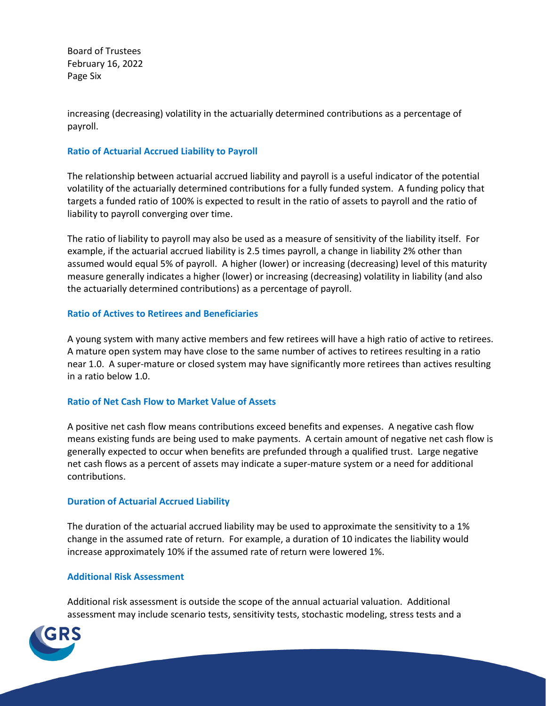Board of Trustees February 16, 2022 Page Six

increasing (decreasing) volatility in the actuarially determined contributions as a percentage of payroll.

#### **Ratio of Actuarial Accrued Liability to Payroll**

The relationship between actuarial accrued liability and payroll is a useful indicator of the potential volatility of the actuarially determined contributions for a fully funded system. A funding policy that targets a funded ratio of 100% is expected to result in the ratio of assets to payroll and the ratio of liability to payroll converging over time.

The ratio of liability to payroll may also be used as a measure of sensitivity of the liability itself. For example, if the actuarial accrued liability is 2.5 times payroll, a change in liability 2% other than assumed would equal 5% of payroll. A higher (lower) or increasing (decreasing) level of this maturity measure generally indicates a higher (lower) or increasing (decreasing) volatility in liability (and also the actuarially determined contributions) as a percentage of payroll.

#### **Ratio of Actives to Retirees and Beneficiaries**

A young system with many active members and few retirees will have a high ratio of active to retirees. A mature open system may have close to the same number of actives to retirees resulting in a ratio near 1.0. A super-mature or closed system may have significantly more retirees than actives resulting in a ratio below 1.0.

#### **Ratio of Net Cash Flow to Market Value of Assets**

A positive net cash flow means contributions exceed benefits and expenses. A negative cash flow means existing funds are being used to make payments. A certain amount of negative net cash flow is generally expected to occur when benefits are prefunded through a qualified trust. Large negative net cash flows as a percent of assets may indicate a super-mature system or a need for additional contributions.

#### **Duration of Actuarial Accrued Liability**

The duration of the actuarial accrued liability may be used to approximate the sensitivity to a 1% change in the assumed rate of return. For example, a duration of 10 indicates the liability would increase approximately 10% if the assumed rate of return were lowered 1%.

#### **Additional Risk Assessment**

Additional risk assessment is outside the scope of the annual actuarial valuation. Additional assessment may include scenario tests, sensitivity tests, stochastic modeling, stress tests and a

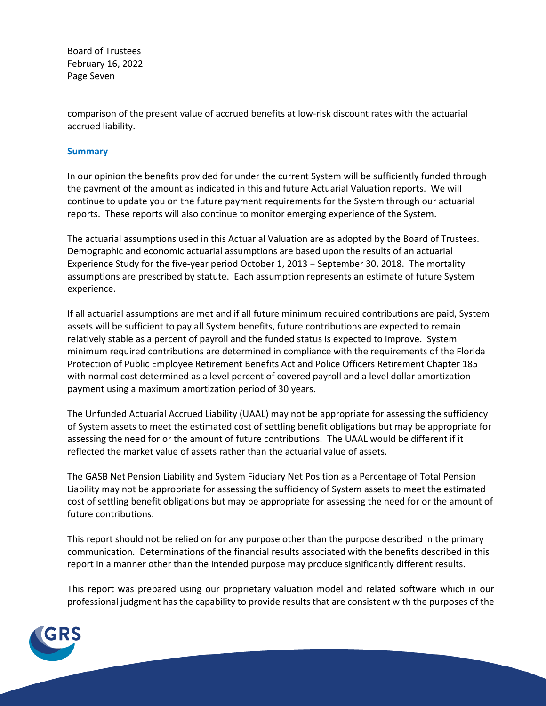Board of Trustees February 16, 2022 Page Seven

comparison of the present value of accrued benefits at low-risk discount rates with the actuarial accrued liability.

## **Summary**

In our opinion the benefits provided for under the current System will be sufficiently funded through the payment of the amount as indicated in this and future Actuarial Valuation reports. We will continue to update you on the future payment requirements for the System through our actuarial reports. These reports will also continue to monitor emerging experience of the System.

The actuarial assumptions used in this Actuarial Valuation are as adopted by the Board of Trustees. Demographic and economic actuarial assumptions are based upon the results of an actuarial Experience Study for the five-year period October 1, 2013 − September 30, 2018. The mortality assumptions are prescribed by statute. Each assumption represents an estimate of future System experience.

If all actuarial assumptions are met and if all future minimum required contributions are paid, System assets will be sufficient to pay all System benefits, future contributions are expected to remain relatively stable as a percent of payroll and the funded status is expected to improve. System minimum required contributions are determined in compliance with the requirements of the Florida Protection of Public Employee Retirement Benefits Act and Police Officers Retirement Chapter 185 with normal cost determined as a level percent of covered payroll and a level dollar amortization payment using a maximum amortization period of 30 years.

The Unfunded Actuarial Accrued Liability (UAAL) may not be appropriate for assessing the sufficiency of System assets to meet the estimated cost of settling benefit obligations but may be appropriate for assessing the need for or the amount of future contributions. The UAAL would be different if it reflected the market value of assets rather than the actuarial value of assets.

The GASB Net Pension Liability and System Fiduciary Net Position as a Percentage of Total Pension Liability may not be appropriate for assessing the sufficiency of System assets to meet the estimated cost of settling benefit obligations but may be appropriate for assessing the need for or the amount of future contributions.

This report should not be relied on for any purpose other than the purpose described in the primary communication. Determinations of the financial results associated with the benefits described in this report in a manner other than the intended purpose may produce significantly different results.

This report was prepared using our proprietary valuation model and related software which in our professional judgment has the capability to provide results that are consistent with the purposes of the

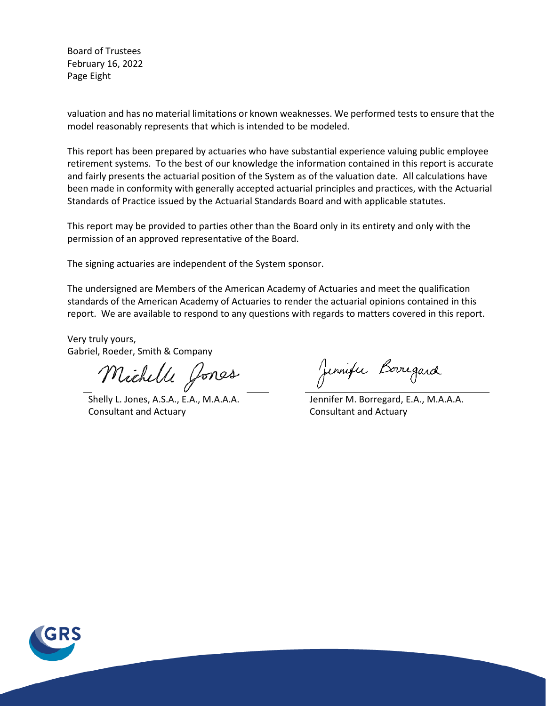Board of Trustees February 16, 2022 Page Eight

valuation and has no material limitations or known weaknesses. We performed tests to ensure that the model reasonably represents that which is intended to be modeled.

This report has been prepared by actuaries who have substantial experience valuing public employee retirement systems. To the best of our knowledge the information contained in this report is accurate and fairly presents the actuarial position of the System as of the valuation date. All calculations have been made in conformity with generally accepted actuarial principles and practices, with the Actuarial Standards of Practice issued by the Actuarial Standards Board and with applicable statutes.

This report may be provided to parties other than the Board only in its entirety and only with the permission of an approved representative of the Board.

The signing actuaries are independent of the System sponsor.

The undersigned are Members of the American Academy of Actuaries and meet the qualification standards of the American Academy of Actuaries to render the actuarial opinions contained in this report. We are available to respond to any questions with regards to matters covered in this report.

Very truly yours,

Gabriel, Roeder, Smith & Company<br>Michelle Jones

Shelly L. Jones, A.S.A., E.A., M.A.A.A. Consultant and Actuary

Jennifee Borregard

Jennifer M. Borregard, E.A., M.A.A.A. Consultant and Actuary

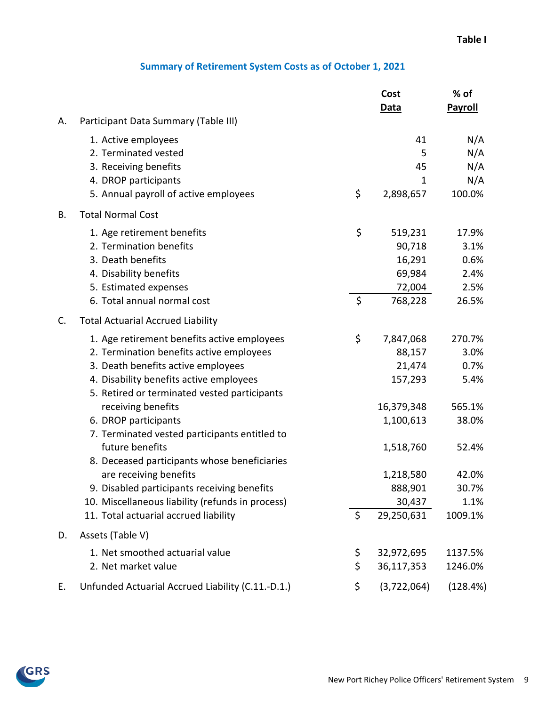# **Summary of Retirement System Costs as of October 1, 2021**

|    |                                                   | Cost<br><b>Data</b> | % of<br><b>Payroll</b> |
|----|---------------------------------------------------|---------------------|------------------------|
| Α. | Participant Data Summary (Table III)              |                     |                        |
|    | 1. Active employees                               | 41                  | N/A                    |
|    | 2. Terminated vested                              | 5                   | N/A                    |
|    | 3. Receiving benefits                             | 45                  | N/A                    |
|    | 4. DROP participants                              | $\mathbf{1}$        | N/A                    |
|    | 5. Annual payroll of active employees             | \$<br>2,898,657     | 100.0%                 |
| В. | <b>Total Normal Cost</b>                          |                     |                        |
|    | 1. Age retirement benefits                        | \$<br>519,231       | 17.9%                  |
|    | 2. Termination benefits                           | 90,718              | 3.1%                   |
|    | 3. Death benefits                                 | 16,291              | 0.6%                   |
|    | 4. Disability benefits                            | 69,984              | 2.4%                   |
|    | 5. Estimated expenses                             | 72,004              | 2.5%                   |
|    | 6. Total annual normal cost                       | \$<br>768,228       | 26.5%                  |
| C. | <b>Total Actuarial Accrued Liability</b>          |                     |                        |
|    | 1. Age retirement benefits active employees       | \$<br>7,847,068     | 270.7%                 |
|    | 2. Termination benefits active employees          | 88,157              | 3.0%                   |
|    | 3. Death benefits active employees                | 21,474              | 0.7%                   |
|    | 4. Disability benefits active employees           | 157,293             | 5.4%                   |
|    | 5. Retired or terminated vested participants      |                     |                        |
|    | receiving benefits                                | 16,379,348          | 565.1%                 |
|    | 6. DROP participants                              | 1,100,613           | 38.0%                  |
|    | 7. Terminated vested participants entitled to     |                     |                        |
|    | future benefits                                   | 1,518,760           | 52.4%                  |
|    | 8. Deceased participants whose beneficiaries      |                     |                        |
|    | are receiving benefits                            | 1,218,580           | 42.0%                  |
|    | 9. Disabled participants receiving benefits       | 888,901             | 30.7%                  |
|    | 10. Miscellaneous liability (refunds in process)  | 30,437              | 1.1%                   |
|    | 11. Total actuarial accrued liability             | \$<br>29,250,631    | 1009.1%                |
| D. | Assets (Table V)                                  |                     |                        |
|    | 1. Net smoothed actuarial value                   | \$<br>32,972,695    | 1137.5%                |
|    | 2. Net market value                               | \$<br>36,117,353    | 1246.0%                |
| Ε. | Unfunded Actuarial Accrued Liability (C.11.-D.1.) | \$<br>(3,722,064)   | (128.4%)               |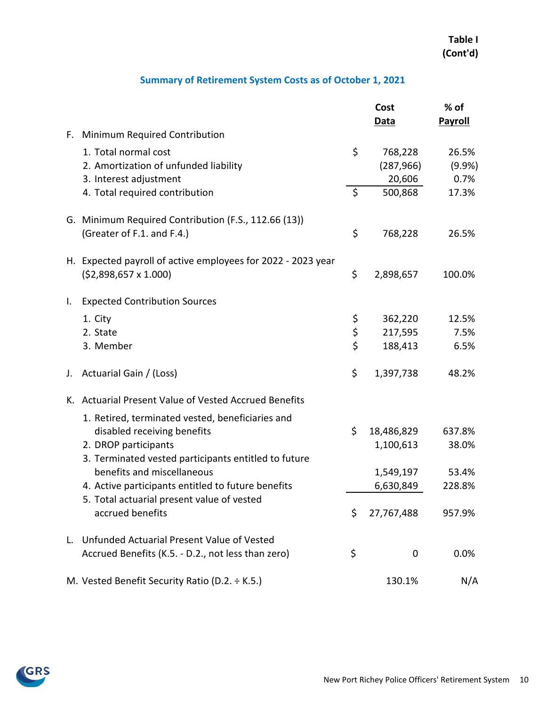## **Summary of Retirement System Costs as of October 1, 2021**

|    |                                                              |          | Cost<br>Data | % of<br>Payroll |
|----|--------------------------------------------------------------|----------|--------------|-----------------|
|    | F. Minimum Required Contribution                             |          |              |                 |
|    | 1. Total normal cost                                         | \$       | 768,228      | 26.5%           |
|    | 2. Amortization of unfunded liability                        |          | (287, 966)   | (9.9%           |
|    | 3. Interest adjustment                                       |          | 20,606       | 0.7%            |
|    | 4. Total required contribution                               | \$       | 500,868      | 17.3%           |
|    | G. Minimum Required Contribution (F.S., 112.66 (13))         |          |              |                 |
|    | (Greater of F.1. and F.4.)                                   | \$       | 768,228      | 26.5%           |
|    | H. Expected payroll of active employees for 2022 - 2023 year |          |              |                 |
|    | $(52,898,657 \times 1.000)$                                  | \$       | 2,898,657    | 100.0%          |
| I. | <b>Expected Contribution Sources</b>                         |          |              |                 |
|    | 1. City                                                      | \$       | 362,220      | 12.5%           |
|    | 2. State                                                     | \$<br>\$ | 217,595      | 7.5%            |
|    | 3. Member                                                    |          | 188,413      | 6.5%            |
| J. | Actuarial Gain / (Loss)                                      | \$       | 1,397,738    | 48.2%           |
|    | K. Actuarial Present Value of Vested Accrued Benefits        |          |              |                 |
|    | 1. Retired, terminated vested, beneficiaries and             |          |              |                 |
|    | disabled receiving benefits                                  | \$       | 18,486,829   | 637.8%          |
|    | 2. DROP participants                                         |          | 1,100,613    | 38.0%           |
|    | 3. Terminated vested participants entitled to future         |          |              |                 |
|    | benefits and miscellaneous                                   |          | 1,549,197    | 53.4%           |
|    | 4. Active participants entitled to future benefits           |          | 6,630,849    | 228.8%          |
|    | 5. Total actuarial present value of vested                   |          |              |                 |
|    | accrued benefits                                             | \$       | 27,767,488   | 957.9%          |
|    | L. Unfunded Actuarial Present Value of Vested                |          |              |                 |
|    | Accrued Benefits (K.5. - D.2., not less than zero)           | \$       | 0            | 0.0%            |
|    | M. Vested Benefit Security Ratio (D.2. ÷ K.5.)               |          | 130.1%       | N/A             |

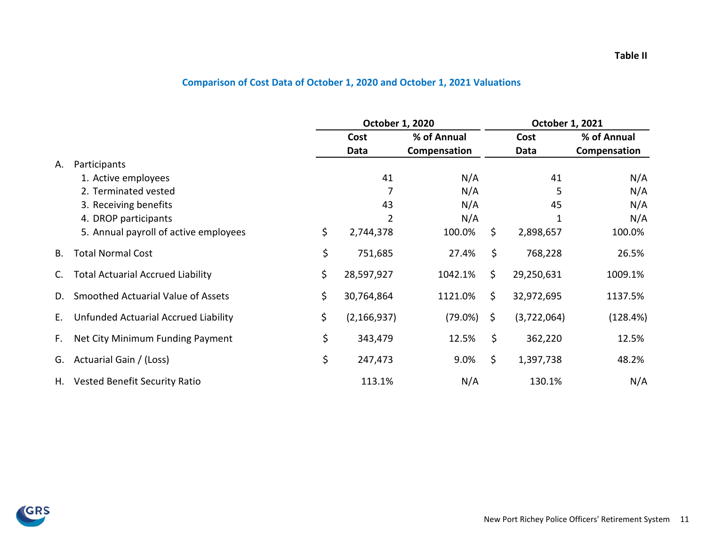## **Comparison of Cost Data of October 1, 2020 and October 1, 2021 Valuations**

|    |                                          |     | October 1, 2020     |              |     | October 1, 2021 |              |  |
|----|------------------------------------------|-----|---------------------|--------------|-----|-----------------|--------------|--|
|    |                                          |     | % of Annual<br>Cost |              |     | Cost            | % of Annual  |  |
|    |                                          |     | Data                | Compensation |     | Data            | Compensation |  |
| Α. | Participants                             |     |                     |              |     |                 |              |  |
|    | 1. Active employees                      |     | 41                  | N/A          |     | 41              | N/A          |  |
|    | 2. Terminated vested                     |     |                     | N/A          |     | 5               | N/A          |  |
|    | 3. Receiving benefits                    |     | 43                  | N/A          |     | 45              | N/A          |  |
|    | 4. DROP participants                     |     | 2                   | N/A          |     |                 | N/A          |  |
|    | 5. Annual payroll of active employees    | \$  | 2,744,378           | 100.0%       | \$  | 2,898,657       | 100.0%       |  |
| В. | <b>Total Normal Cost</b>                 | \$  | 751,685             | 27.4%        | \$  | 768,228         | 26.5%        |  |
| C. | <b>Total Actuarial Accrued Liability</b> | \$. | 28,597,927          | 1042.1%      | \$  | 29,250,631      | 1009.1%      |  |
| D. | Smoothed Actuarial Value of Assets       | \$  | 30,764,864          | 1121.0%      | \$. | 32,972,695      | 1137.5%      |  |
| Ε. | Unfunded Actuarial Accrued Liability     | \$  | (2, 166, 937)       | $(79.0\%)$   | \$  | (3,722,064)     | (128.4%)     |  |
| F. | Net City Minimum Funding Payment         | \$  | 343,479             | 12.5%        | \$  | 362,220         | 12.5%        |  |
| G. | Actuarial Gain / (Loss)                  | \$  | 247,473             | 9.0%         | \$  | 1,397,738       | 48.2%        |  |
|    | H. Vested Benefit Security Ratio         |     | 113.1%              | N/A          |     | 130.1%          | N/A          |  |

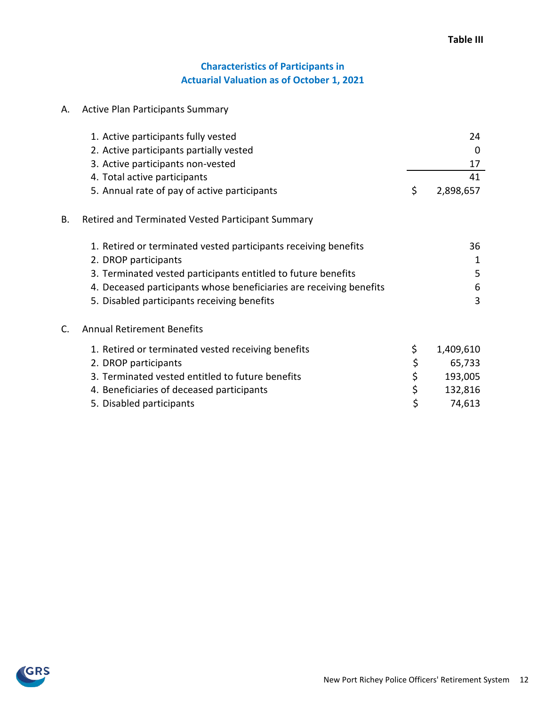## **Actuarial Valuation as of October 1, 2021 Characteristics of Participants in**

| А. | <b>Active Plan Participants Summary</b>                             |                 |
|----|---------------------------------------------------------------------|-----------------|
|    | 1. Active participants fully vested                                 | 24              |
|    | 2. Active participants partially vested                             | 0               |
|    | 3. Active participants non-vested                                   | 17              |
|    | 4. Total active participants                                        | 41              |
|    | 5. Annual rate of pay of active participants                        | \$<br>2,898,657 |
| В. | Retired and Terminated Vested Participant Summary                   |                 |
|    | 1. Retired or terminated vested participants receiving benefits     | 36              |
|    | 2. DROP participants                                                | 1               |
|    | 3. Terminated vested participants entitled to future benefits       | 5               |
|    | 4. Deceased participants whose beneficiaries are receiving benefits | 6               |
|    | 5. Disabled participants receiving benefits                         | 3               |
| C. | <b>Annual Retirement Benefits</b>                                   |                 |
|    | 1. Retired or terminated vested receiving benefits                  | \$<br>1,409,610 |
|    | 2. DROP participants                                                | \$<br>65,733    |
|    | 3. Terminated vested entitled to future benefits                    | \$<br>193,005   |
|    | 4. Beneficiaries of deceased participants                           | \$<br>132,816   |
|    | 5. Disabled participants                                            | \$<br>74,613    |

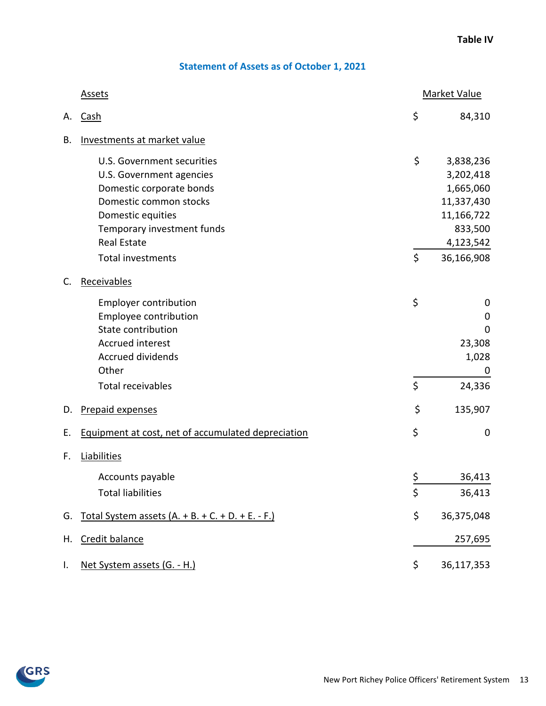## **Statement of Assets as of October 1, 2021**

|    | <b>Assets</b>                                       |         | <b>Market Value</b> |
|----|-----------------------------------------------------|---------|---------------------|
| А. | Cash                                                | \$      | 84,310              |
| В. | Investments at market value                         |         |                     |
|    | U.S. Government securities                          | \$      | 3,838,236           |
|    | U.S. Government agencies                            |         | 3,202,418           |
|    | Domestic corporate bonds                            |         | 1,665,060           |
|    | Domestic common stocks                              |         | 11,337,430          |
|    | Domestic equities                                   |         | 11,166,722          |
|    | Temporary investment funds                          |         | 833,500             |
|    | <b>Real Estate</b>                                  |         | 4,123,542           |
|    | <b>Total investments</b>                            | $\zeta$ | 36,166,908          |
| C. | Receivables                                         |         |                     |
|    | <b>Employer contribution</b>                        | \$      | 0                   |
|    | Employee contribution                               |         | $\mathbf 0$         |
|    | State contribution                                  |         | $\mathbf 0$         |
|    | <b>Accrued interest</b>                             |         | 23,308              |
|    | <b>Accrued dividends</b>                            |         | 1,028               |
|    | Other                                               |         | 0                   |
|    | <b>Total receivables</b>                            | \$      | 24,336              |
| D. | <b>Prepaid expenses</b>                             | \$      | 135,907             |
| Ε. | Equipment at cost, net of accumulated depreciation  | \$      | 0                   |
| F. | Liabilities                                         |         |                     |
|    | Accounts payable                                    | \$      | 36,413              |
|    | <b>Total liabilities</b>                            | \$      | 36,413              |
| G. | Total System assets $(A. + B. + C. + D. + E. - F.)$ | \$      | 36,375,048          |
| Н. | Credit balance                                      |         | 257,695             |
| I. | Net System assets (G. - H.)                         | \$      | 36,117,353          |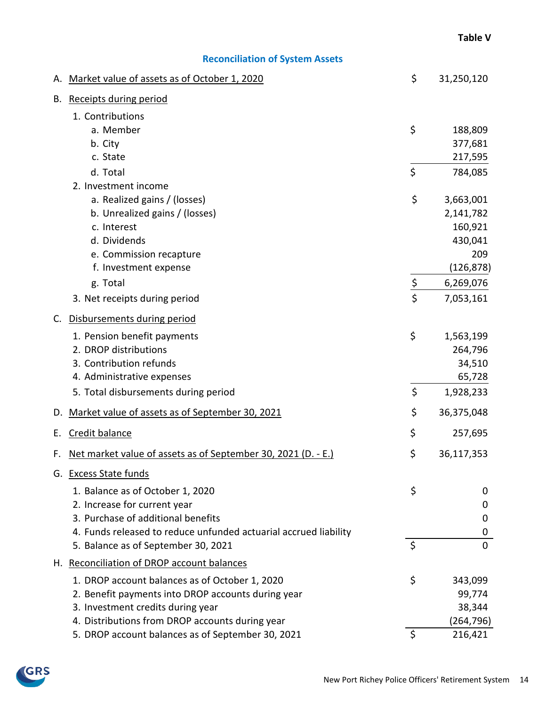## **Reconciliation of System Assets**

| А. | Market value of assets as of October 1, 2020                     | \$            | 31,250,120     |
|----|------------------------------------------------------------------|---------------|----------------|
| В. | Receipts during period                                           |               |                |
|    | 1. Contributions                                                 |               |                |
|    | a. Member                                                        | \$            | 188,809        |
|    | b. City                                                          |               | 377,681        |
|    | c. State                                                         |               | 217,595        |
|    | d. Total                                                         | \$            | 784,085        |
|    | 2. Investment income                                             |               |                |
|    | a. Realized gains / (losses)                                     | \$            | 3,663,001      |
|    | b. Unrealized gains / (losses)                                   |               | 2,141,782      |
|    | c. Interest                                                      |               | 160,921        |
|    | d. Dividends                                                     |               | 430,041        |
|    | e. Commission recapture                                          |               | 209            |
|    | f. Investment expense                                            |               | (126, 878)     |
|    | g. Total                                                         | $\frac{5}{5}$ | 6,269,076      |
|    | 3. Net receipts during period                                    |               | 7,053,161      |
| C. | Disbursements during period                                      |               |                |
|    | 1. Pension benefit payments                                      | \$            | 1,563,199      |
|    | 2. DROP distributions                                            |               | 264,796        |
|    | 3. Contribution refunds                                          |               | 34,510         |
|    | 4. Administrative expenses                                       |               | 65,728         |
|    | 5. Total disbursements during period                             | \$            | 1,928,233      |
| D. | Market value of assets as of September 30, 2021                  | \$            | 36,375,048     |
| Е. | Credit balance                                                   | \$            | 257,695        |
| F. | Net market value of assets as of September 30, 2021 (D. - E.)    | \$            | 36,117,353     |
|    | G. Excess State funds                                            |               |                |
|    | 1. Balance as of October 1, 2020                                 | \$            | 0              |
|    | 2. Increase for current year                                     |               | 0              |
|    | 3. Purchase of additional benefits                               |               | 0              |
|    | 4. Funds released to reduce unfunded actuarial accrued liability |               | 0              |
|    | 5. Balance as of September 30, 2021                              | $\zeta$       | $\overline{0}$ |
|    | H. Reconciliation of DROP account balances                       |               |                |
|    | 1. DROP account balances as of October 1, 2020                   | \$            | 343,099        |
|    | 2. Benefit payments into DROP accounts during year               |               | 99,774         |
|    | 3. Investment credits during year                                |               | 38,344         |
|    | 4. Distributions from DROP accounts during year                  |               | (264, 796)     |
|    | 5. DROP account balances as of September 30, 2021                | \$            | 216,421        |

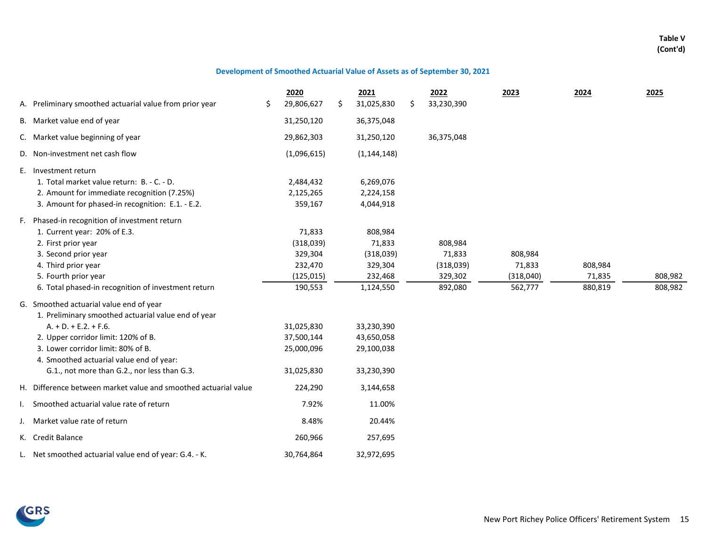#### **Development of Smoothed Actuarial Value of Assets as of September 30, 2021**

| A. Preliminary smoothed actuarial value from prior year         | S | 2020<br>29,806,627 | \$<br>2021<br>31,025,830 | 2022<br>33,230,390 | 2023      | 2024    | 2025    |
|-----------------------------------------------------------------|---|--------------------|--------------------------|--------------------|-----------|---------|---------|
| B. Market value end of year                                     |   | 31,250,120         | 36,375,048               |                    |           |         |         |
| C. Market value beginning of year                               |   | 29,862,303         | 31,250,120               | 36,375,048         |           |         |         |
| D. Non-investment net cash flow                                 |   | (1,096,615)        | (1, 144, 148)            |                    |           |         |         |
| E. Investment return                                            |   |                    |                          |                    |           |         |         |
| 1. Total market value return: B. - C. - D.                      |   | 2,484,432          | 6,269,076                |                    |           |         |         |
| 2. Amount for immediate recognition (7.25%)                     |   | 2,125,265          | 2,224,158                |                    |           |         |         |
| 3. Amount for phased-in recognition: E.1. - E.2.                |   | 359,167            | 4,044,918                |                    |           |         |         |
| F. Phased-in recognition of investment return                   |   |                    |                          |                    |           |         |         |
| 1. Current year: 20% of E.3.                                    |   | 71,833             | 808,984                  |                    |           |         |         |
| 2. First prior year                                             |   | (318,039)          | 71,833                   | 808,984            |           |         |         |
| 3. Second prior year                                            |   | 329,304            | (318,039)                | 71,833             | 808,984   |         |         |
| 4. Third prior year                                             |   | 232,470            | 329,304                  | (318,039)          | 71,833    | 808,984 |         |
| 5. Fourth prior year                                            |   | (125, 015)         | 232,468                  | 329,302            | (318,040) | 71,835  | 808,982 |
| 6. Total phased-in recognition of investment return             |   | 190,553            | 1,124,550                | 892,080            | 562,777   | 880,819 | 808,982 |
| G. Smoothed actuarial value end of year                         |   |                    |                          |                    |           |         |         |
| 1. Preliminary smoothed actuarial value end of year             |   |                    |                          |                    |           |         |         |
| $A_1 + D_1 + E_2 + F_16$                                        |   | 31,025,830         | 33,230,390               |                    |           |         |         |
| 2. Upper corridor limit: 120% of B.                             |   | 37,500,144         | 43,650,058               |                    |           |         |         |
| 3. Lower corridor limit: 80% of B.                              |   | 25,000,096         | 29,100,038               |                    |           |         |         |
| 4. Smoothed actuarial value end of year:                        |   |                    |                          |                    |           |         |         |
| G.1., not more than G.2., nor less than G.3.                    |   | 31,025,830         | 33,230,390               |                    |           |         |         |
| H. Difference between market value and smoothed actuarial value |   | 224,290            | 3,144,658                |                    |           |         |         |
| Smoothed actuarial value rate of return                         |   | 7.92%              | 11.00%                   |                    |           |         |         |
| J. Market value rate of return                                  |   | 8.48%              | 20.44%                   |                    |           |         |         |
| K. Credit Balance                                               |   | 260,966            | 257,695                  |                    |           |         |         |
| L. Net smoothed actuarial value end of year: G.4. - K.          |   | 30,764,864         | 32,972,695               |                    |           |         |         |

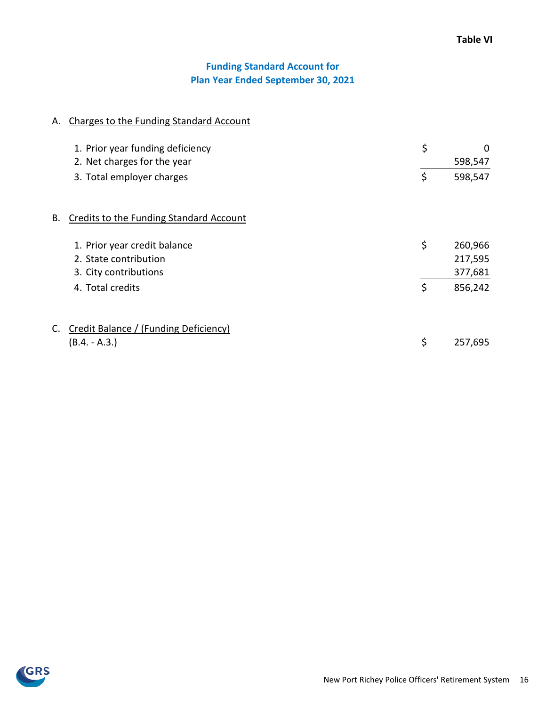## **Plan Year Ended September 30, 2021 Funding Standard Account for**

| А. | Charges to the Funding Standard Account        |               |
|----|------------------------------------------------|---------------|
|    | 1. Prior year funding deficiency               | \$<br>0       |
|    | 2. Net charges for the year                    | 598,547       |
|    | 3. Total employer charges                      | \$<br>598,547 |
| В. | <b>Credits to the Funding Standard Account</b> |               |
|    | 1. Prior year credit balance                   | \$<br>260,966 |
|    | 2. State contribution                          | 217,595       |
|    | 3. City contributions                          | 377,681       |
|    | 4. Total credits                               | \$<br>856,242 |
| C. | Credit Balance / (Funding Deficiency)          |               |
|    | $(B.4. - A.3.)$                                | \$<br>257,695 |

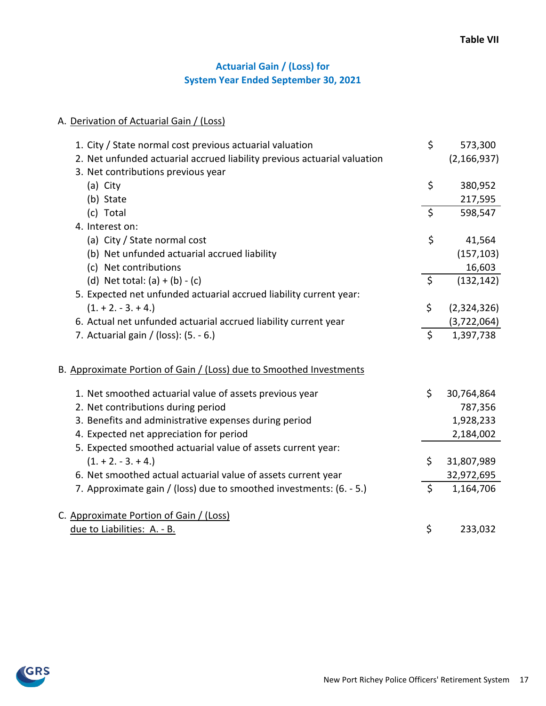## **System Year Ended September 30, 2021 Actuarial Gain / (Loss) for**

## A. Derivation of Actuarial Gain / (Loss)

GRS

| 1. City / State normal cost previous actuarial valuation                 | \$      | 573,300       |
|--------------------------------------------------------------------------|---------|---------------|
| 2. Net unfunded actuarial accrued liability previous actuarial valuation |         | (2, 166, 937) |
| 3. Net contributions previous year                                       |         |               |
| (a) City                                                                 | \$      | 380,952       |
| (b) State                                                                |         | 217,595       |
| (c) Total                                                                | $\zeta$ | 598,547       |
| 4. Interest on:                                                          |         |               |
| (a) City / State normal cost                                             | \$      | 41,564        |
| (b) Net unfunded actuarial accrued liability                             |         | (157, 103)    |
| (c) Net contributions                                                    |         | 16,603        |
| (d) Net total: $(a) + (b) - (c)$                                         | \$      | (132, 142)    |
| 5. Expected net unfunded actuarial accrued liability current year:       |         |               |
| $(1. + 2. - 3. + 4.)$                                                    | \$      | (2,324,326)   |
| 6. Actual net unfunded actuarial accrued liability current year          |         | (3,722,064)   |
| 7. Actuarial gain / (loss): (5. - 6.)                                    | \$      | 1,397,738     |
|                                                                          |         |               |
| B. Approximate Portion of Gain / (Loss) due to Smoothed Investments      |         |               |
|                                                                          |         |               |
| 1. Net smoothed actuarial value of assets previous year                  | \$      | 30,764,864    |
| 2. Net contributions during period                                       |         | 787,356       |
| 3. Benefits and administrative expenses during period                    |         | 1,928,233     |
| 4. Expected net appreciation for period                                  |         | 2,184,002     |
| 5. Expected smoothed actuarial value of assets current year:             |         |               |
| $(1. + 2. - 3. + 4.)$                                                    | \$      | 31,807,989    |
| 6. Net smoothed actual actuarial value of assets current year            |         | 32,972,695    |
| 7. Approximate gain / (loss) due to smoothed investments: (6. - 5.)      | \$      | 1,164,706     |
| C. Approximate Portion of Gain / (Loss)                                  |         |               |
| due to Liabilities: A. - B.                                              | \$      | 233,032       |
|                                                                          |         |               |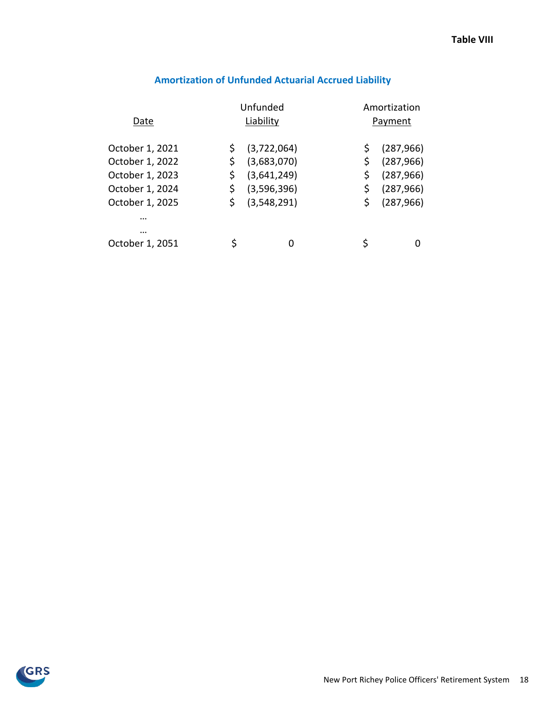|                 |    | Unfunded    |    | Amortization |  |  |  |  |
|-----------------|----|-------------|----|--------------|--|--|--|--|
| Date            |    | Liability   |    | Payment      |  |  |  |  |
| October 1, 2021 | \$ | (3,722,064) |    | (287, 966)   |  |  |  |  |
| October 1, 2022 | \$ | (3,683,070) | \$ | (287, 966)   |  |  |  |  |
| October 1, 2023 | \$ | (3,641,249) | \$ | (287, 966)   |  |  |  |  |
| October 1, 2024 | \$ | (3,596,396) | \$ | (287, 966)   |  |  |  |  |
| October 1, 2025 | \$ | (3,548,291) | \$ | (287, 966)   |  |  |  |  |
| $\cdots$        |    |             |    |              |  |  |  |  |
| $\cdots$        |    |             |    |              |  |  |  |  |
| October 1, 2051 |    |             | \$ |              |  |  |  |  |

## **Amortization of Unfunded Actuarial Accrued Liability**

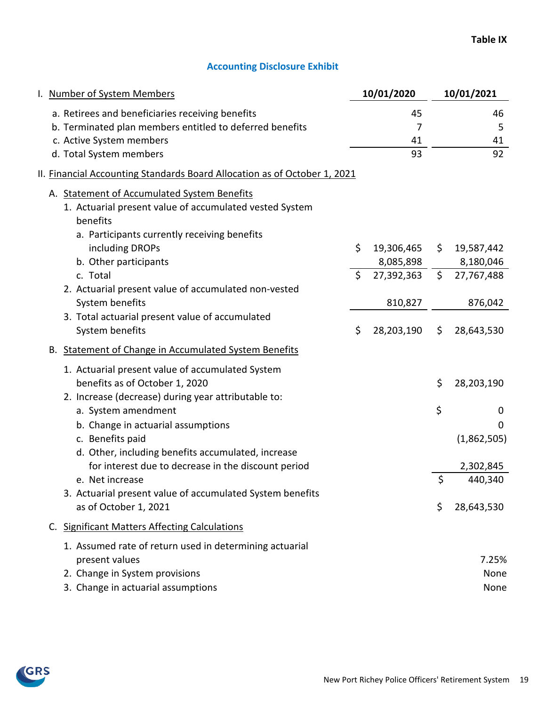| I. Number of System Members                                               | 10/01/2020       |         | 10/01/2021  |
|---------------------------------------------------------------------------|------------------|---------|-------------|
| a. Retirees and beneficiaries receiving benefits                          | 45               |         | 46          |
| b. Terminated plan members entitled to deferred benefits                  | 7                |         | 5           |
| c. Active System members                                                  | 41               |         | 41          |
| d. Total System members                                                   | 93               |         | 92          |
| II. Financial Accounting Standards Board Allocation as of October 1, 2021 |                  |         |             |
| A. Statement of Accumulated System Benefits                               |                  |         |             |
| 1. Actuarial present value of accumulated vested System                   |                  |         |             |
| benefits                                                                  |                  |         |             |
| a. Participants currently receiving benefits                              |                  |         |             |
| including DROPs                                                           | \$<br>19,306,465 | \$      | 19,587,442  |
| b. Other participants                                                     | 8,085,898        |         | 8,180,046   |
| c. Total                                                                  | \$<br>27,392,363 | $\zeta$ | 27,767,488  |
| 2. Actuarial present value of accumulated non-vested                      |                  |         |             |
| System benefits                                                           | 810,827          |         | 876,042     |
| 3. Total actuarial present value of accumulated                           |                  |         |             |
| System benefits                                                           | \$<br>28,203,190 | \$      | 28,643,530  |
| <b>Statement of Change in Accumulated System Benefits</b><br>В.           |                  |         |             |
| 1. Actuarial present value of accumulated System                          |                  |         |             |
| benefits as of October 1, 2020                                            |                  | \$      | 28,203,190  |
| 2. Increase (decrease) during year attributable to:                       |                  |         |             |
| a. System amendment                                                       |                  | \$      | 0           |
| b. Change in actuarial assumptions                                        |                  |         | 0           |
| c. Benefits paid                                                          |                  |         | (1,862,505) |
| d. Other, including benefits accumulated, increase                        |                  |         |             |
| for interest due to decrease in the discount period                       |                  |         | 2,302,845   |
| e. Net increase                                                           |                  | \$      | 440,340     |
| 3. Actuarial present value of accumulated System benefits                 |                  |         |             |
| as of October 1, 2021                                                     |                  | \$      | 28,643,530  |
| C. Significant Matters Affecting Calculations                             |                  |         |             |
| 1. Assumed rate of return used in determining actuarial                   |                  |         |             |
| present values                                                            |                  |         | 7.25%       |
| 2. Change in System provisions                                            |                  |         | None        |
| 3. Change in actuarial assumptions                                        |                  |         | None        |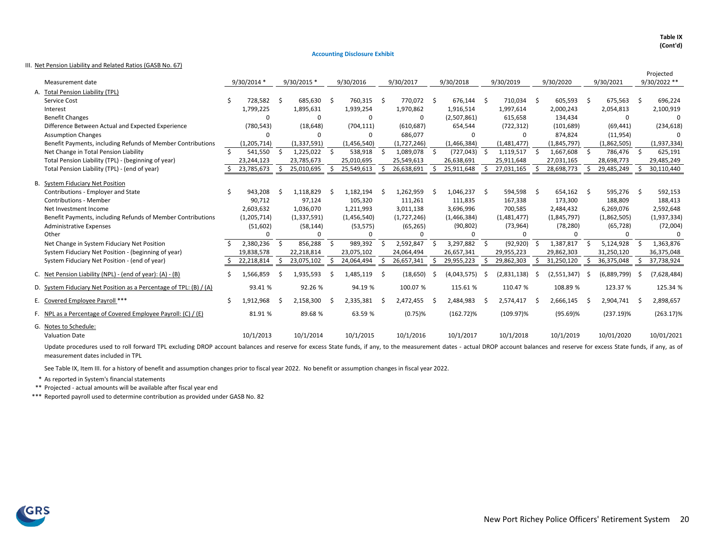**Table IX (Cont'd)**

#### **Accounting Disclosure Exhibit**

#### III. Net Pension Liability and Related Ratios (GASB No. 67)

|                                                                    |                 |     |               |    |             |    |             |    |               |     |              |     |              |     |              |    | Projected    |
|--------------------------------------------------------------------|-----------------|-----|---------------|----|-------------|----|-------------|----|---------------|-----|--------------|-----|--------------|-----|--------------|----|--------------|
| Measurement date                                                   | 9/30/2014 *     |     | 9/30/2015 *   |    | 9/30/2016   |    | 9/30/2017   |    | 9/30/2018     |     | 9/30/2019    |     | 9/30/2020    |     | 9/30/2021    |    | 9/30/2022 ** |
| A. Total Pension Liability (TPL)                                   |                 |     |               |    |             |    |             |    |               |     |              |     |              |     |              |    |              |
| Service Cost                                                       | 728,582         | -\$ | 685,630       | Ŝ. | 760,315     | -S | 770,072     | -Ŝ | 676,144 \$    |     | 710,034 \$   |     | $605,593$ \$ |     | 675,563 \$   |    | 696,224      |
| Interest                                                           | 1,799,225       |     | 1,895,631     |    | 1,939,254   |    | 1,970,862   |    | 1,916,514     |     | 1,997,614    |     | 2,000,243    |     | 2,054,813    |    | 2,100,919    |
| <b>Benefit Changes</b>                                             | $\Omega$        |     | 0             |    | $\Omega$    |    | $\Omega$    |    | (2,507,861)   |     | 615,658      |     | 134,434      |     | $\Omega$     |    | $\Omega$     |
| Difference Between Actual and Expected Experience                  | (780, 543)      |     | (18, 648)     |    | (704, 111)  |    | (610, 687)  |    | 654,544       |     | (722, 312)   |     | (101, 689)   |     | (69, 441)    |    | (234, 618)   |
| <b>Assumption Changes</b>                                          | $\Omega$        |     | <sup>0</sup>  |    | $\Omega$    |    | 686,077     |    | $\Omega$      |     | 0            |     | 874,824      |     | (11, 954)    |    |              |
| Benefit Payments, including Refunds of Member Contributions        | (1, 205, 714)   |     | (1, 337, 591) |    | (1,456,540) |    | (1,727,246) |    | (1, 466, 384) |     | (1,481,477)  |     | (1,845,797)  |     | (1,862,505)  |    | (1,937,334)  |
| Net Change in Total Pension Liability                              | 541,550         | - Ś | 1,225,022     | Ŝ. | 538,918     |    | 1,089,078   | S. | (727, 043)    |     | 1,119,517    |     | 1,667,608    |     | 786,476      | -S | 625,191      |
| Total Pension Liability (TPL) - (beginning of year)                | 23,244,123      |     | 23,785,673    |    | 25,010,695  |    | 25,549,613  |    | 26,638,691    |     | 25,911,648   |     | 27,031,165   |     | 28,698,773   |    | 29,485,249   |
| Total Pension Liability (TPL) - (end of year)                      | 23,785,673      | Ŝ.  | 25,010,695    | Ŝ. | 25,549,613  | Ŝ. | 26,638,691  | Ŝ. | 25,911,648    | Ś.  | 27,031,165   |     | 28,698,773   |     | 29,485,249   | \$ | 30,110,440   |
|                                                                    |                 |     |               |    |             |    |             |    |               |     |              |     |              |     |              |    |              |
| B. System Fiduciary Net Position                                   |                 |     |               |    |             |    |             |    |               |     |              |     |              |     |              |    |              |
| Contributions - Employer and State                                 | 943,208         | Ŝ.  | 1,118,829     | S, | 1,182,194   | Ŝ  | 1,262,959   | S. | 1,046,237     | -\$ | 594,598      | - Ś | 654,162 \$   |     | 595,276 \$   |    | 592,153      |
| <b>Contributions - Member</b>                                      | 90,712          |     | 97,124        |    | 105,320     |    | 111,261     |    | 111,835       |     | 167,338      |     | 173,300      |     | 188,809      |    | 188,413      |
| Net Investment Income                                              | 2,603,632       |     | 1,036,070     |    | 1,211,993   |    | 3,011,138   |    | 3,696,996     |     | 700,585      |     | 2,484,432    |     | 6,269,076    |    | 2,592,648    |
| Benefit Payments, including Refunds of Member Contributions        | (1, 205, 714)   |     | (1, 337, 591) |    | (1,456,540) |    | (1,727,246) |    | (1,466,384)   |     | (1,481,477)  |     | (1,845,797)  |     | (1,862,505)  |    | (1,937,334)  |
| <b>Administrative Expenses</b>                                     | (51,602)        |     | (58, 144)     |    | (53, 575)   |    | (65, 265)   |    | (90, 802)     |     | (73, 964)    |     | (78, 280)    |     | (65, 728)    |    | (72,004)     |
| Other                                                              | n               |     |               |    |             |    |             |    | $\Omega$      |     |              |     |              |     | U            |    |              |
| Net Change in System Fiduciary Net Position                        | 2,380,236       | - Ś | 856,288       |    | 989,392     |    | 2,592,847   |    | 3,297,882     | Ŝ.  | (92, 920)    |     | 1,387,817    |     | 5,124,928    |    | 1,363,876    |
| System Fiduciary Net Position - (beginning of year)                | 19,838,578      |     | 22,218,814    |    | 23,075,102  |    | 24,064,494  |    | 26,657,341    |     | 29,955,223   |     | 29,862,303   |     | 31,250,120   |    | 36,375,048   |
| System Fiduciary Net Position - (end of year)                      | 22,218,814      | Ŝ.  | 23,075,102    |    | 24,064,494  | Ŝ. | 26,657,341  |    | 29,955,223    | Ś   | 29,862,303   |     | 31,250,120   |     | 36,375,048   | S. | 37,738,924   |
| C. Net Pension Liability (NPL) - (end of year): (A) - (B)          | L,566,859       | S   | 1,935,593     |    | 1,485,119   | \$ | (18, 650)   |    | (4,043,575)   | S   | (2,831,138)  | - S | (2,551,347)  |     | (6,889,799)  | -S | (7,628,484)  |
| D. System Fiduciary Net Position as a Percentage of TPL: (B) / (A) | 93.41 %         |     | 92.26 %       |    | 94.19 %     |    | 100.07 %    |    | 115.61 %      |     | 110.47 %     |     | 108.89 %     |     | 123.37 %     |    | 125.34 %     |
| E. Covered Employee Payroll ***                                    | \$<br>1,912,968 | Ŝ.  | 2,158,300     | -Ŝ | 2,335,381   | Ŝ. | 2,472,455   | -Ŝ | 2,484,983     | Ŝ.  | 2,574,417    | - Ś | 2,666,145    | - S | 2,904,741 \$ |    | 2,898,657    |
| F. NPL as a Percentage of Covered Employee Payroll: (C) / (E)      | 81.91 %         |     | 89.68 %       |    | 63.59 %     |    | $(0.75)$ %  |    | $(162.72)\%$  |     | $(109.97)\%$ |     | $(95.69)\%$  |     | $(237.19)\%$ |    | $(263.17)\%$ |
| G. Notes to Schedule:                                              |                 |     |               |    |             |    |             |    |               |     |              |     |              |     |              |    |              |
| <b>Valuation Date</b>                                              | 10/1/2013       |     | 10/1/2014     |    | 10/1/2015   |    | 10/1/2016   |    | 10/1/2017     |     | 10/1/2018    |     | 10/1/2019    |     | 10/01/2020   |    | 10/01/2021   |

Update procedures used to roll forward TPL excluding DROP account balances and reserve for excess State funds, if any, to the measurement dates - actual DROP account balances and reserve for excess State funds, if any, as measurement dates included in TPL

See Table IX, Item III. for a history of benefit and assumption changes prior to fiscal year 2022. No benefit or assumption changes in fiscal year 2022.

\* As reported in System's financial statements

\*\* Projected - actual amounts will be available after fiscal year end

\*\*\* Reported payroll used to determine contribution as provided under GASB No. 82

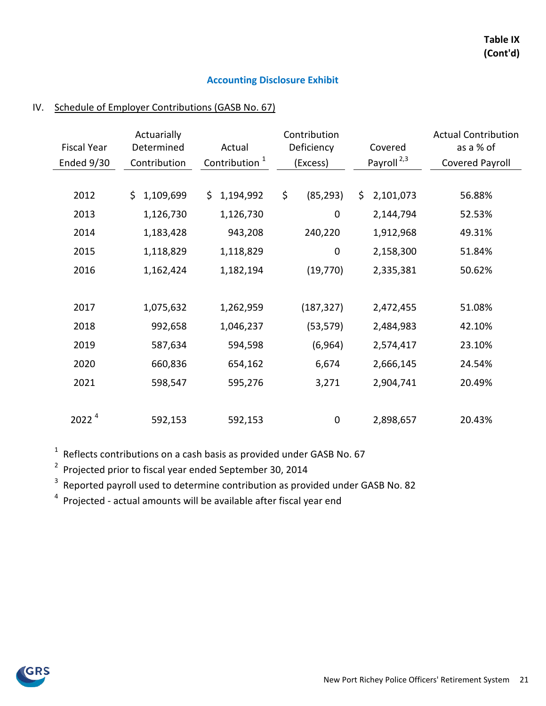|                    | Actuarially     |                           | Contribution     |                        | <b>Actual Contribution</b> |
|--------------------|-----------------|---------------------------|------------------|------------------------|----------------------------|
| <b>Fiscal Year</b> | Determined      | Actual                    | Deficiency       | Covered                | as a % of                  |
| Ended $9/30$       | Contribution    | Contribution <sup>1</sup> | (Excess)         | Payroll <sup>2,3</sup> | <b>Covered Payroll</b>     |
|                    |                 |                           |                  |                        |                            |
| 2012               | 1,109,699<br>\$ | \$<br>1,194,992           | \$<br>(85, 293)  | \$<br>2,101,073        | 56.88%                     |
| 2013               | 1,126,730       | 1,126,730                 | $\boldsymbol{0}$ | 2,144,794              | 52.53%                     |
| 2014               | 1,183,428       | 943,208                   | 240,220          | 1,912,968              | 49.31%                     |
| 2015               | 1,118,829       | 1,118,829                 | $\mathbf 0$      | 2,158,300              | 51.84%                     |
| 2016               | 1,162,424       | 1,182,194                 | (19, 770)        | 2,335,381              | 50.62%                     |
|                    |                 |                           |                  |                        |                            |
| 2017               | 1,075,632       | 1,262,959                 | (187, 327)       | 2,472,455              | 51.08%                     |
| 2018               | 992,658         | 1,046,237                 | (53, 579)        | 2,484,983              | 42.10%                     |
| 2019               | 587,634         | 594,598                   | (6,964)          | 2,574,417              | 23.10%                     |
| 2020               | 660,836         | 654,162                   | 6,674            | 2,666,145              | 24.54%                     |
| 2021               | 598,547         | 595,276                   | 3,271            | 2,904,741              | 20.49%                     |
|                    |                 |                           |                  |                        |                            |
| 2022 <sup>4</sup>  | 592,153         | 592,153                   | $\mathbf 0$      | 2,898,657              | 20.43%                     |

## IV. Schedule of Employer Contributions (GASB No. 67)

 $1$  Reflects contributions on a cash basis as provided under GASB No. 67

 $2$  Projected prior to fiscal year ended September 30, 2014

 $3$  Reported payroll used to determine contribution as provided under GASB No. 82

 $4$  Projected - actual amounts will be available after fiscal year end

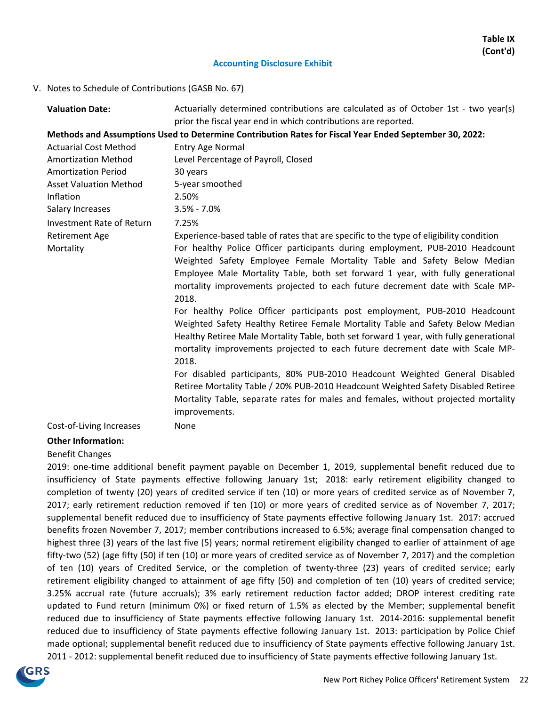#### V. Notes to Schedule of Contributions (GASB No. 67)

| <b>Valuation Date:</b>        | Actuarially determined contributions are calculated as of October 1st - two year(s)<br>prior the fiscal year end in which contributions are reported. |
|-------------------------------|-------------------------------------------------------------------------------------------------------------------------------------------------------|
|                               | Methods and Assumptions Used to Determine Contribution Rates for Fiscal Year Ended September 30, 2022:                                                |
| <b>Actuarial Cost Method</b>  | <b>Entry Age Normal</b>                                                                                                                               |
| <b>Amortization Method</b>    | Level Percentage of Payroll, Closed                                                                                                                   |
| <b>Amortization Period</b>    | 30 years                                                                                                                                              |
| <b>Asset Valuation Method</b> | 5-year smoothed                                                                                                                                       |
| Inflation                     | 2.50%                                                                                                                                                 |
| Salary Increases              | $3.5% - 7.0%$                                                                                                                                         |
| Investment Rate of Return     | 7.25%                                                                                                                                                 |
| <b>Retirement Age</b>         | Experience-based table of rates that are specific to the type of eligibility condition                                                                |
| Mortality                     | For healthy Police Officer participants during employment, PUB-2010 Headcount                                                                         |
|                               | Weighted Safety Employee Female Mortality Table and Safety Below Median                                                                               |
|                               | Employee Male Mortality Table, both set forward 1 year, with fully generational                                                                       |
|                               | mortality improvements projected to each future decrement date with Scale MP-                                                                         |
|                               | 2018.                                                                                                                                                 |
|                               | For healthy Police Officer participants post employment, PUB-2010 Headcount                                                                           |
|                               | Weighted Safety Healthy Retiree Female Mortality Table and Safety Below Median                                                                        |
|                               | Healthy Retiree Male Mortality Table, both set forward 1 year, with fully generational                                                                |
|                               | mortality improvements projected to each future decrement date with Scale MP-                                                                         |
|                               | 2018.                                                                                                                                                 |
|                               | For disabled participants, 80% PUB-2010 Headcount Weighted General Disabled                                                                           |
|                               | Retiree Mortality Table / 20% PUB-2010 Headcount Weighted Safety Disabled Retiree                                                                     |
|                               | Mortality Table, separate rates for males and females, without projected mortality                                                                    |
|                               | improvements.                                                                                                                                         |
| Cost-of-Living Increases      | None                                                                                                                                                  |

#### **Other Information:**

#### Benefit Changes

2019: one-time additional benefit payment payable on December 1, 2019, supplemental benefit reduced due to insufficiency of State payments effective following January 1st; 2018: early retirement eligibility changed to completion of twenty (20) years of credited service if ten (10) or more years of credited service as of November 7, 2017; early retirement reduction removed if ten (10) or more years of credited service as of November 7, 2017; supplemental benefit reduced due to insufficiency of State payments effective following January 1st. 2017: accrued benefits frozen November 7, 2017; member contributions increased to 6.5%; average final compensation changed to highest three (3) years of the last five (5) years; normal retirement eligibility changed to earlier of attainment of age fifty-two (52) (age fifty (50) if ten (10) or more years of credited service as of November 7, 2017) and the completion of ten (10) years of Credited Service, or the completion of twenty-three (23) years of credited service; early retirement eligibility changed to attainment of age fifty (50) and completion of ten (10) years of credited service; 3.25% accrual rate (future accruals); 3% early retirement reduction factor added; DROP interest crediting rate updated to Fund return (minimum 0%) or fixed return of 1.5% as elected by the Member; supplemental benefit reduced due to insufficiency of State payments effective following January 1st. 2014-2016: supplemental benefit reduced due to insufficiency of State payments effective following January 1st. 2013: participation by Police Chief made optional; supplemental benefit reduced due to insufficiency of State payments effective following January 1st. 2011 - 2012: supplemental benefit reduced due to insufficiency of State payments effective following January 1st.

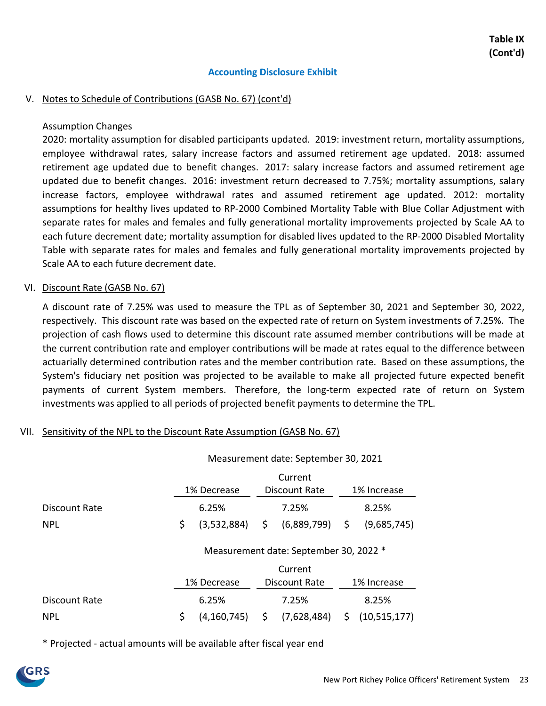#### V. Notes to Schedule of Contributions (GASB No. 67) (cont'd)

#### Assumption Changes

2020: mortality assumption for disabled participants updated. 2019: investment return, mortality assumptions, employee withdrawal rates, salary increase factors and assumed retirement age updated. 2018: assumed retirement age updated due to benefit changes. 2017: salary increase factors and assumed retirement age updated due to benefit changes. 2016: investment return decreased to 7.75%; mortality assumptions, salary increase factors, employee withdrawal rates and assumed retirement age updated. 2012: mortality assumptions for healthy lives updated to RP-2000 Combined Mortality Table with Blue Collar Adjustment with separate rates for males and females and fully generational mortality improvements projected by Scale AA to each future decrement date; mortality assumption for disabled lives updated to the RP-2000 Disabled Mortality Table with separate rates for males and females and fully generational mortality improvements projected by Scale AA to each future decrement date.

#### VI. Discount Rate (GASB No. 67)

A discount rate of 7.25% was used to measure the TPL as of September 30, 2021 and September 30, 2022, respectively. This discount rate was based on the expected rate of return on System investments of 7.25%. The projection of cash flows used to determine this discount rate assumed member contributions will be made at the current contribution rate and employer contributions will be made at rates equal to the difference between actuarially determined contribution rates and the member contribution rate. Based on these assumptions, the System's fiduciary net position was projected to be available to make all projected future expected benefit payments of current System members. Therefore, the long-term expected rate of return on System investments was applied to all periods of projected benefit payments to determine the TPL.

## VII. Sensitivity of the NPL to the Discount Rate Assumption (GASB No. 67)

|               | Measurement date: September 30, 2021 |                                                       |  |                                        |             |  |  |  |  |  |
|---------------|--------------------------------------|-------------------------------------------------------|--|----------------------------------------|-------------|--|--|--|--|--|
|               |                                      | Current                                               |  |                                        |             |  |  |  |  |  |
|               |                                      | 1% Decrease                                           |  | Discount Rate                          | 1% Increase |  |  |  |  |  |
| Discount Rate |                                      | 6.25%                                                 |  | 7.25%                                  | 8.25%       |  |  |  |  |  |
| <b>NPL</b>    |                                      | $(3,532,884)$ \$ $(6,889,799)$ \$ $(9,685,745)$<br>S. |  |                                        |             |  |  |  |  |  |
|               |                                      |                                                       |  | Measurement date: September 30, 2022 * |             |  |  |  |  |  |

|               | 1% Decrease<br>Discount Rate |                                                              |  |       |  | 1% Increase |  |  |
|---------------|------------------------------|--------------------------------------------------------------|--|-------|--|-------------|--|--|
| Discount Rate | 6.25%                        |                                                              |  | 7.25% |  | 8.25%       |  |  |
| <b>NPL</b>    |                              | $\zeta$ (4,160,745) $\zeta$ (7,628,484) $\zeta$ (10,515,177) |  |       |  |             |  |  |

\* Projected - actual amounts will be available after fiscal year end

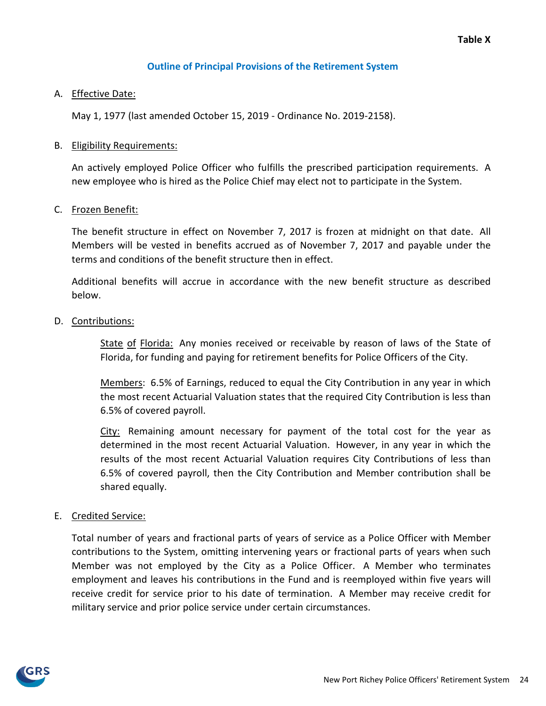#### A. Effective Date:

May 1, 1977 (last amended October 15, 2019 - Ordinance No. 2019-2158).

#### B. Eligibility Requirements:

An actively employed Police Officer who fulfills the prescribed participation requirements. A new employee who is hired as the Police Chief may elect not to participate in the System.

#### C. Frozen Benefit:

The benefit structure in effect on November 7, 2017 is frozen at midnight on that date. All Members will be vested in benefits accrued as of November 7, 2017 and payable under the terms and conditions of the benefit structure then in effect.

Additional benefits will accrue in accordance with the new benefit structure as described below.

#### D. Contributions:

State of Florida: Any monies received or receivable by reason of laws of the State of Florida, for funding and paying for retirement benefits for Police Officers of the City.

Members: 6.5% of Earnings, reduced to equal the City Contribution in any year in which the most recent Actuarial Valuation states that the required City Contribution is less than 6.5% of covered payroll.

 $City:$  Remaining amount necessary for payment of the total cost for the year as determined in the most recent Actuarial Valuation. However, in any year in which the results of the most recent Actuarial Valuation requires City Contributions of less than 6.5% of covered payroll, then the City Contribution and Member contribution shall be shared equally.

#### E. Credited Service:

Total number of years and fractional parts of years of service as a Police Officer with Member contributions to the System, omitting intervening years or fractional parts of years when such Member was not employed by the City as a Police Officer. A Member who terminates employment and leaves his contributions in the Fund and is reemployed within five years will receive credit for service prior to his date of termination. A Member may receive credit for military service and prior police service under certain circumstances.

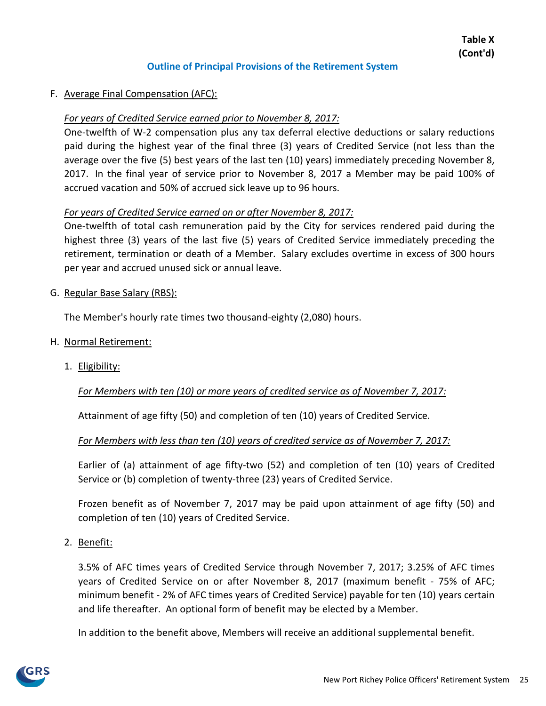## F. Average Final Compensation (AFC):

## *For years of Credited Service earned prior to November 8, 2017:*

One-twelfth of W-2 compensation plus any tax deferral elective deductions or salary reductions paid during the highest year of the final three (3) years of Credited Service (not less than the average over the five (5) best years of the last ten (10) years) immediately preceding November 8, 2017. In the final year of service prior to November 8, 2017 a Member may be paid 100% of accrued vacation and 50% of accrued sick leave up to 96 hours.

#### *For years of Credited Service earned on or after November 8, 2017:*

One-twelfth of total cash remuneration paid by the City for services rendered paid during the highest three (3) years of the last five (5) years of Credited Service immediately preceding the retirement, termination or death of a Member. Salary excludes overtime in excess of 300 hours per year and accrued unused sick or annual leave.

#### G. Regular Base Salary (RBS):

The Member's hourly rate times two thousand-eighty (2,080) hours.

#### H. Normal Retirement:

1. Eligibility:

## *For Members with ten (10) or more years of credited service as of November 7, 2017:*

Attainment of age fifty (50) and completion of ten (10) years of Credited Service.

#### *For Members with less than ten (10) years of credited service as of November 7, 2017:*

Earlier of (a) attainment of age fifty-two (52) and completion of ten (10) years of Credited Service or (b) completion of twenty-three (23) years of Credited Service.

Frozen benefit as of November 7, 2017 may be paid upon attainment of age fifty (50) and completion of ten (10) years of Credited Service.

#### 2. Benefit:

3.5% of AFC times years of Credited Service through November 7, 2017; 3.25% of AFC times years of Credited Service on or after November 8, 2017 (maximum benefit - 75% of AFC; minimum benefit - 2% of AFC times years of Credited Service) payable for ten (10) years certain and life thereafter. An optional form of benefit may be elected by a Member.

In addition to the benefit above, Members will receive an additional supplemental benefit.

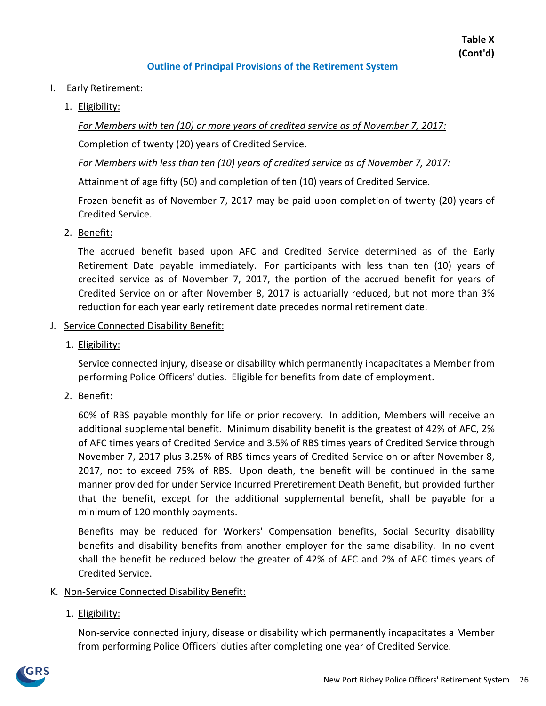- I. Early Retirement:
	- 1. Eligibility:

*For Members with ten (10) or more years of credited service as of November 7, 2017:*

Completion of twenty (20) years of Credited Service.

*For Members with less than ten (10) years of credited service as of November 7, 2017:*

Attainment of age fifty (50) and completion of ten (10) years of Credited Service.

Frozen benefit as of November 7, 2017 may be paid upon completion of twenty (20) years of Credited Service.

## 2. Benefit:

The accrued benefit based upon AFC and Credited Service determined as of the Early Retirement Date payable immediately. For participants with less than ten (10) years of credited service as of November 7, 2017, the portion of the accrued benefit for years of Credited Service on or after November 8, 2017 is actuarially reduced, but not more than 3% reduction for each year early retirement date precedes normal retirement date.

## J. Service Connected Disability Benefit:

1. Eligibility:

Service connected injury, disease or disability which permanently incapacitates a Member from performing Police Officers' duties. Eligible for benefits from date of employment.

2. Benefit:

60% of RBS payable monthly for life or prior recovery. In addition, Members will receive an additional supplemental benefit. Minimum disability benefit is the greatest of 42% of AFC, 2% of AFC times years of Credited Service and 3.5% of RBS times years of Credited Service through November 7, 2017 plus 3.25% of RBS times years of Credited Service on or after November 8, 2017, not to exceed 75% of RBS. Upon death, the benefit will be continued in the same manner provided for under Service Incurred Preretirement Death Benefit, but provided further that the benefit, except for the additional supplemental benefit, shall be payable for a minimum of 120 monthly payments.

Benefits may be reduced for Workers' Compensation benefits, Social Security disability benefits and disability benefits from another employer for the same disability. In no event shall the benefit be reduced below the greater of 42% of AFC and 2% of AFC times years of Credited Service.

## K. Non-Service Connected Disability Benefit:

1. Eligibility:

Non-service connected injury, disease or disability which permanently incapacitates a Member from performing Police Officers' duties after completing one year of Credited Service.

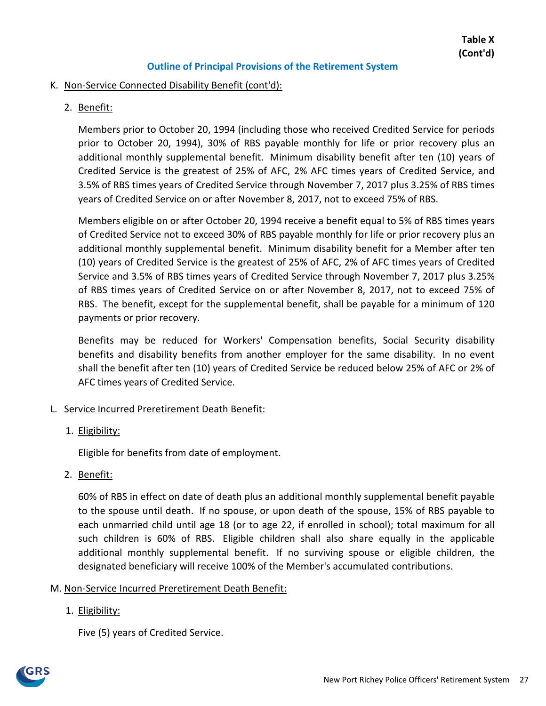## K. Non-Service Connected Disability Benefit (cont'd):

## 2. Benefit:

ľ Members prior to October 20, 1994 (including those who received Credited Service for periods prior to October 20, 1994), 30% of RBS payable monthly for life or prior recovery plus an additional monthly supplemental benefit. Minimum disability benefit after ten (10) years of Credited Service is the greatest of 25% of AFC, 2% AFC times years of Credited Service, and 3.5% of RBS times years of Credited Service through November 7, 2017 plus 3.25% of RBS times years of Credited Service on or after November 8, 2017, not to exceed 75% of RBS.

Members eligible on or after October 20, 1994 receive a benefit equal to 5% of RBS times years of Credited Service not to exceed 30% of RBS payable monthly for life or prior recovery plus an additional monthly supplemental benefit. Minimum disability benefit for a Member after ten (10) years of Credited Service is the greatest of 25% of AFC, 2% of AFC times years of Credited Service and 3.5% of RBS times years of Credited Service through November 7, 2017 plus 3.25% of RBS times years of Credited Service on or after November 8, 2017, not to exceed 75% of RBS. The benefit, except for the supplemental benefit, shall be payable for a minimum of 120 payments or prior recovery.

Benefits may be reduced for Workers' Compensation benefits, Social Security disability benefits and disability benefits from another employer for the same disability. In no event shall the benefit after ten (10) years of Credited Service be reduced below 25% of AFC or 2% of AFC times years of Credited Service.

## L. Service Incurred Preretirement Death Benefit:

## 1. Eligibility:

Eligible for benefits from date of employment.

2. Benefit:

60% of RBS in effect on date of death plus an additional monthly supplemental benefit payable to the spouse until death. If no spouse, or upon death of the spouse, 15% of RBS payable to each unmarried child until age 18 (or to age 22, if enrolled in school); total maximum for all such children is 60% of RBS. Eligible children shall also share equally in the applicable additional monthly supplemental benefit. If no surviving spouse or eligible children, the designated beneficiary will receive 100% of the Member's accumulated contributions.

## M. Non-Service Incurred Preretirement Death Benefit:

1. Eligibility:

Five (5) years of Credited Service.

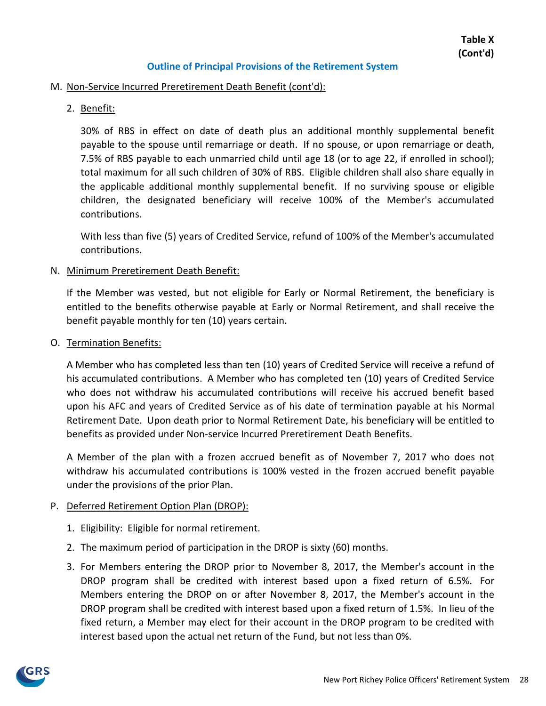#### M. Non-Service Incurred Preretirement Death Benefit (cont'd):

#### 2. Benefit:

30% of RBS in effect on date of death plus an additional monthly supplemental benefit payable to the spouse until remarriage or death. If no spouse, or upon remarriage or death, 7.5% of RBS payable to each unmarried child until age 18 (or to age 22, if enrolled in school); total maximum for all such children of 30% of RBS. Eligible children shall also share equally in the applicable additional monthly supplemental benefit. If no surviving spouse or eligible children, the designated beneficiary will receive 100% of the Member's accumulated contributions.

With less than five (5) years of Credited Service, refund of 100% of the Member's accumulated contributions.

#### N. Minimum Preretirement Death Benefit:

If the Member was vested, but not eligible for Early or Normal Retirement, the beneficiary is entitled to the benefits otherwise payable at Early or Normal Retirement, and shall receive the benefit payable monthly for ten (10) years certain.

#### O. Termination Benefits:

A Member who has completed less than ten (10) years of Credited Service will receive a refund of his accumulated contributions. A Member who has completed ten (10) years of Credited Service who does not withdraw his accumulated contributions will receive his accrued benefit based upon his AFC and years of Credited Service as of his date of termination payable at his Normal Retirement Date. Upon death prior to Normal Retirement Date, his beneficiary will be entitled to benefits as provided under Non-service Incurred Preretirement Death Benefits.

A Member of the plan with a frozen accrued benefit as of November 7, 2017 who does not withdraw his accumulated contributions is 100% vested in the frozen accrued benefit payable under the provisions of the prior Plan.

## P. Deferred Retirement Option Plan (DROP):

- 1. Eligibility: Eligible for normal retirement.
- 2. The maximum period of participation in the DROP is sixty (60) months.
- 3. For Members entering the DROP prior to November 8, 2017, the Member's account in the DROP program shall be credited with interest based upon a fixed return of 6.5%. For Members entering the DROP on or after November 8, 2017, the Member's account in the DROP program shall be credited with interest based upon a fixed return of 1.5%. In lieu of the fixed return, a Member may elect for their account in the DROP program to be credited with interest based upon the actual net return of the Fund, but not less than 0%.

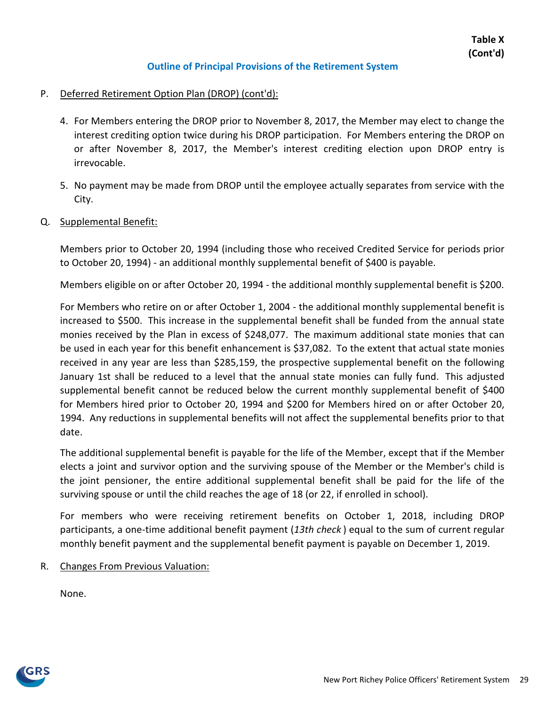## P. Deferred Retirement Option Plan (DROP) (cont'd):

- 4. For Members entering the DROP prior to November 8, 2017, the Member may elect to change the interest crediting option twice during his DROP participation. For Members entering the DROP on or after November 8, 2017, the Member's interest crediting election upon DROP entry is irrevocable.
- 5. No payment may be made from DROP until the employee actually separates from service with the City.
- Q. Supplemental Benefit:

Members prior to October 20, 1994 (including those who received Credited Service for periods prior to October 20, 1994) - an additional monthly supplemental benefit of \$400 is payable.

Members eligible on or after October 20, 1994 - the additional monthly supplemental benefit is \$200.

For Members who retire on or after October 1, 2004 - the additional monthly supplemental benefit is increased to \$500. This increase in the supplemental benefit shall be funded from the annual state monies received by the Plan in excess of \$248,077. The maximum additional state monies that can be used in each year for this benefit enhancement is \$37,082. To the extent that actual state monies received in any year are less than \$285,159, the prospective supplemental benefit on the following January 1st shall be reduced to a level that the annual state monies can fully fund. This adjusted supplemental benefit cannot be reduced below the current monthly supplemental benefit of \$400 for Members hired prior to October 20, 1994 and \$200 for Members hired on or after October 20, 1994. Any reductions in supplemental benefits will not affect the supplemental benefits prior to that date.

The additional supplemental benefit is payable for the life of the Member, except that if the Member elects a joint and survivor option and the surviving spouse of the Member or the Member's child is the joint pensioner, the entire additional supplemental benefit shall be paid for the life of the surviving spouse or until the child reaches the age of 18 (or 22, if enrolled in school).

For members who were receiving retirement benefits on October 1, 2018, including DROP participants, a one-time additional benefit payment (*13th check* ) equal to the sum of current regular monthly benefit payment and the supplemental benefit payment is payable on December 1, 2019.

R. Changes From Previous Valuation:

None.

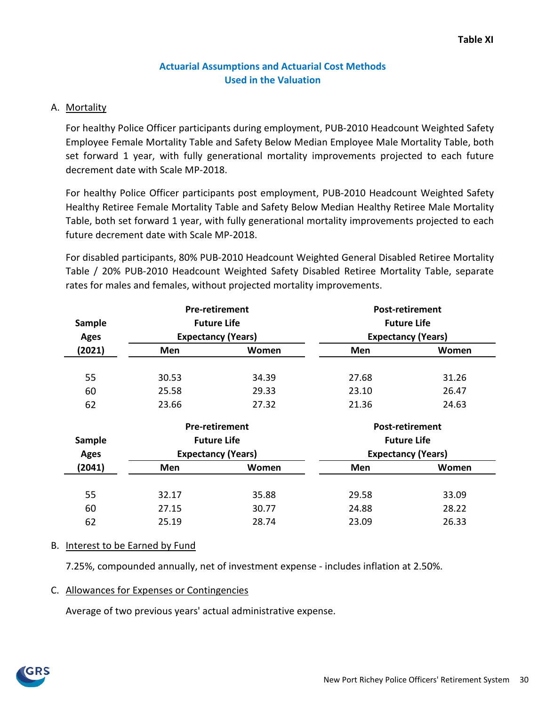## A. Mortality

For healthy Police Officer participants during employment, PUB-2010 Headcount Weighted Safety Employee Female Mortality Table and Safety Below Median Employee Male Mortality Table, both set forward 1 year, with fully generational mortality improvements projected to each future decrement date with Scale MP-2018.

For healthy Police Officer participants post employment, PUB-2010 Headcount Weighted Safety Healthy Retiree Female Mortality Table and Safety Below Median Healthy Retiree Male Mortality Table, both set forward 1 year, with fully generational mortality improvements projected to each future decrement date with Scale MP-2018.

For disabled participants, 80% PUB-2010 Headcount Weighted General Disabled Retiree Mortality Table / 20% PUB-2010 Headcount Weighted Safety Disabled Retiree Mortality Table, separate rates for males and females, without projected mortality improvements.

|               |                           | <b>Pre-retirement</b>     |       | <b>Post-retirement</b>    |
|---------------|---------------------------|---------------------------|-------|---------------------------|
| Sample        |                           | <b>Future Life</b>        |       | <b>Future Life</b>        |
| <b>Ages</b>   | <b>Expectancy (Years)</b> |                           |       | <b>Expectancy (Years)</b> |
| (2021)        | Men                       | Women                     | Men   | Women                     |
|               |                           |                           |       |                           |
| 55            | 30.53                     | 34.39                     | 27.68 | 31.26                     |
| 60            | 25.58                     | 29.33                     | 23.10 | 26.47                     |
| 62            | 23.66                     | 27.32                     | 21.36 | 24.63                     |
|               | <b>Pre-retirement</b>     |                           |       |                           |
|               |                           |                           |       | <b>Post-retirement</b>    |
| <b>Sample</b> |                           | <b>Future Life</b>        |       | <b>Future Life</b>        |
| <b>Ages</b>   |                           | <b>Expectancy (Years)</b> |       | <b>Expectancy (Years)</b> |
| (2041)        | Men                       | Women                     | Men   | Women                     |
|               |                           |                           |       |                           |
| 55            | 32.17                     | 35.88                     | 29.58 | 33.09                     |
| 60            | 27.15                     | 30.77                     | 24.88 | 28.22                     |

## B. Interest to be Earned by Fund

7.25%, compounded annually, net of investment expense - includes inflation at 2.50%.

## C. Allowances for Expenses or Contingencies

Average of two previous years' actual administrative expense.

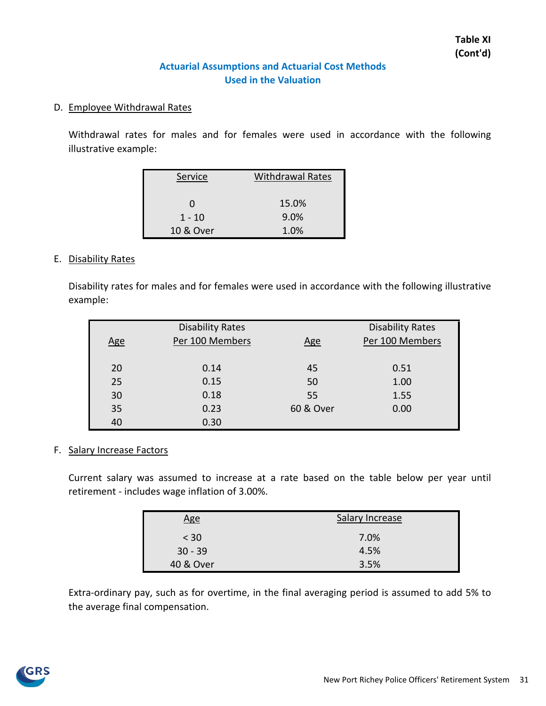## D. Employee Withdrawal Rates

Withdrawal rates for males and for females were used in accordance with the following illustrative example:

| Service   | <b>Withdrawal Rates</b> |
|-----------|-------------------------|
| $\Omega$  | 15.0%                   |
| $1 - 10$  | 9.0%                    |
| 10 & Over | 1.0%                    |

#### E. Disability Rates

Disability rates for males and for females were used in accordance with the following illustrative example:

| <u>Age</u> | <b>Disability Rates</b><br>Per 100 Members | <u>Age</u>           | <b>Disability Rates</b><br>Per 100 Members |
|------------|--------------------------------------------|----------------------|--------------------------------------------|
| 20         | 0.14                                       | 45                   | 0.51                                       |
| 25         | 0.15                                       | 50                   | 1.00                                       |
| 30         | 0.18                                       | 55                   | 1.55                                       |
| 35         | 0.23                                       | <b>60 &amp; Over</b> | 0.00                                       |
| 40         | 0.30                                       |                      |                                            |

## F. Salary Increase Factors

Current salary was assumed to increase at a rate based on the table below per year until retirement - includes wage inflation of 3.00%.

| <u>Age</u> | Salary Increase |
|------------|-----------------|
| $<$ 30     | 7.0%            |
| $30 - 39$  | 4.5%            |
| 40 & Over  | 3.5%            |

Extra-ordinary pay, such as for overtime, in the final averaging period is assumed to add 5% to the average final compensation.

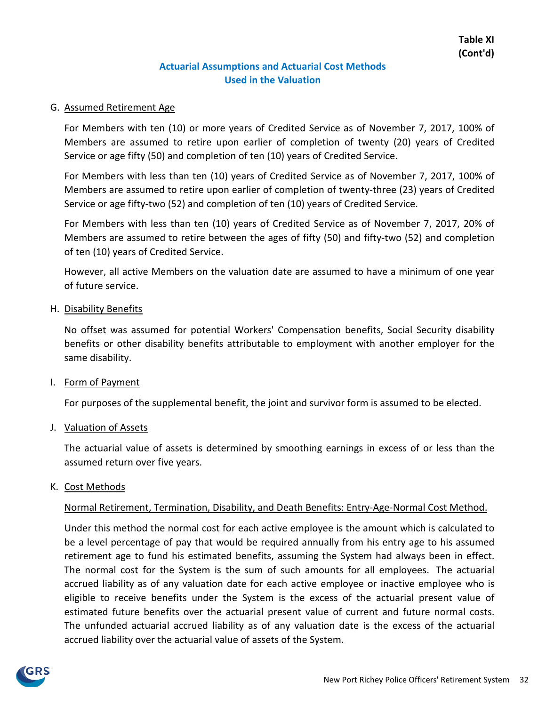## G. Assumed Retirement Age

For Members with ten (10) or more years of Credited Service as of November 7, 2017, 100% of Members are assumed to retire upon earlier of completion of twenty (20) years of Credited Service or age fifty (50) and completion of ten (10) years of Credited Service.

For Members with less than ten (10) years of Credited Service as of November 7, 2017, 100% of Members are assumed to retire upon earlier of completion of twenty-three (23) years of Credited Service or age fifty-two (52) and completion of ten (10) years of Credited Service.

For Members with less than ten (10) years of Credited Service as of November 7, 2017, 20% of Members are assumed to retire between the ages of fifty (50) and fifty-two (52) and completion of ten (10) years of Credited Service.

However, all active Members on the valuation date are assumed to have a minimum of one year of future service.

#### H. Disability Benefits

No offset was assumed for potential Workers' Compensation benefits, Social Security disability benefits or other disability benefits attributable to employment with another employer for the same disability.

#### I. Form of Payment

For purposes of the supplemental benefit, the joint and survivor form is assumed to be elected.

## J. Valuation of Assets

The actuarial value of assets is determined by smoothing earnings in excess of or less than the assumed return over five years.

#### K. Cost Methods

## Normal Retirement, Termination, Disability, and Death Benefits: Entry-Age-Normal Cost Method.

Under this method the normal cost for each active employee is the amount which is calculated to be a level percentage of pay that would be required annually from his entry age to his assumed retirement age to fund his estimated benefits, assuming the System had always been in effect. The normal cost for the System is the sum of such amounts for all employees. The actuarial accrued liability as of any valuation date for each active employee or inactive employee who is eligible to receive benefits under the System is the excess of the actuarial present value of estimated future benefits over the actuarial present value of current and future normal costs. The unfunded actuarial accrued liability as of any valuation date is the excess of the actuarial accrued liability over the actuarial value of assets of the System.

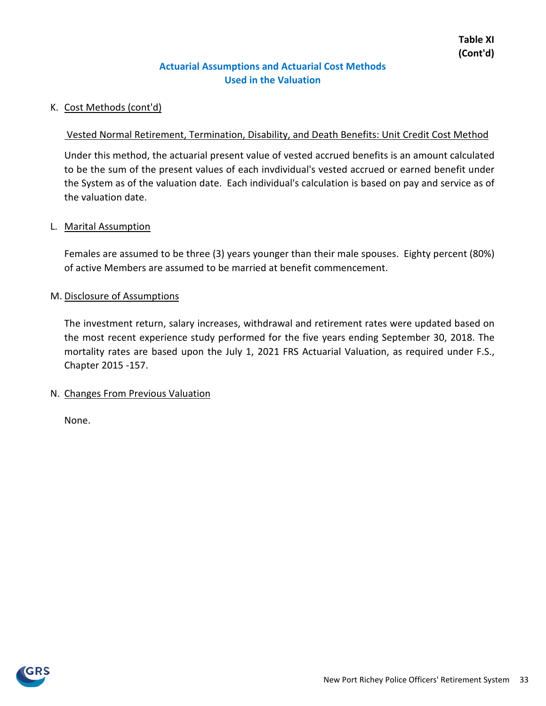## K. Cost Methods (cont'd)

## Vested Normal Retirement, Termination, Disability, and Death Benefits: Unit Credit Cost Method

Under this method, the actuarial present value of vested accrued benefits is an amount calculated to be the sum of the present values of each invdividual's vested accrued or earned benefit under the System as of the valuation date. Each individual's calculation is based on pay and service as of the valuation date.

## L. Marital Assumption

Females are assumed to be three (3) years younger than their male spouses. Eighty percent (80%) of active Members are assumed to be married at benefit commencement.

## M. Disclosure of Assumptions

The investment return, salary increases, withdrawal and retirement rates were updated based on the most recent experience study performed for the five years ending September 30, 2018. The mortality rates are based upon the July 1, 2021 FRS Actuarial Valuation, as required under F.S., Chapter 2015 -157.

## N. Changes From Previous Valuation

None.

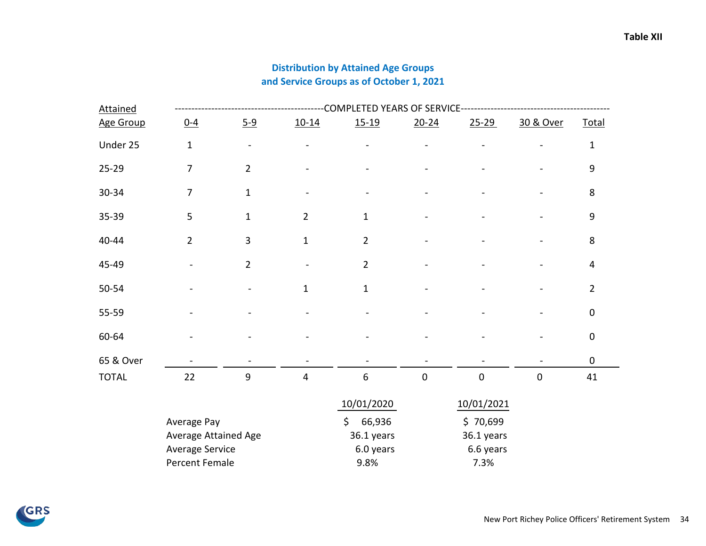## **and Service Groups as of October 1, 2021 Distribution by Attained Age Groups**

| <b>Attained</b> |                      |                |                | -COMPLETED YEARS OF SERVICE- |             |             |           |                  |
|-----------------|----------------------|----------------|----------------|------------------------------|-------------|-------------|-----------|------------------|
| Age Group       | $0 - 4$              | $5 - 9$        | $10 - 14$      | $15 - 19$                    | $20 - 24$   | $25 - 29$   | 30 & Over | Total            |
| Under 25        | $\mathbf{1}$         | -              |                |                              |             |             |           | $\mathbf{1}$     |
| 25-29           | $\overline{7}$       | $\overline{2}$ |                |                              |             |             |           | 9                |
| 30-34           | 7                    | $\mathbf 1$    |                |                              |             |             |           | $\,8\,$          |
| 35-39           | 5                    | $\mathbf{1}$   | $\overline{2}$ | $\mathbf 1$                  |             |             |           | $\boldsymbol{9}$ |
| 40-44           | $\overline{2}$       | $\overline{3}$ | $\mathbf{1}$   | $\overline{2}$               |             |             |           | $\bf 8$          |
| 45-49           |                      | $\overline{2}$ |                | $\overline{2}$               |             |             |           | $\overline{4}$   |
| 50-54           |                      |                | $\mathbf{1}$   | $\mathbf 1$                  |             |             |           | $\overline{2}$   |
| 55-59           |                      |                |                |                              |             |             |           | $\pmb{0}$        |
| 60-64           |                      |                |                |                              |             |             |           | $\pmb{0}$        |
| 65 & Over       |                      |                |                |                              |             |             |           | $\mathbf 0$      |
| <b>TOTAL</b>    | 22                   | 9              | $\overline{4}$ | 6                            | $\mathbf 0$ | $\mathbf 0$ | $\pmb{0}$ | 41               |
|                 |                      |                |                | 10/01/2020                   |             | 10/01/2021  |           |                  |
|                 | Average Pay          |                |                | \$<br>66,936                 |             | \$70,699    |           |                  |
|                 | Average Attained Age |                |                | 36.1 years                   |             | 36.1 years  |           |                  |
|                 | Average Service      |                |                | 6.0 years                    |             | 6.6 years   |           |                  |
|                 | Percent Female       |                |                | 9.8%                         |             | 7.3%        |           |                  |

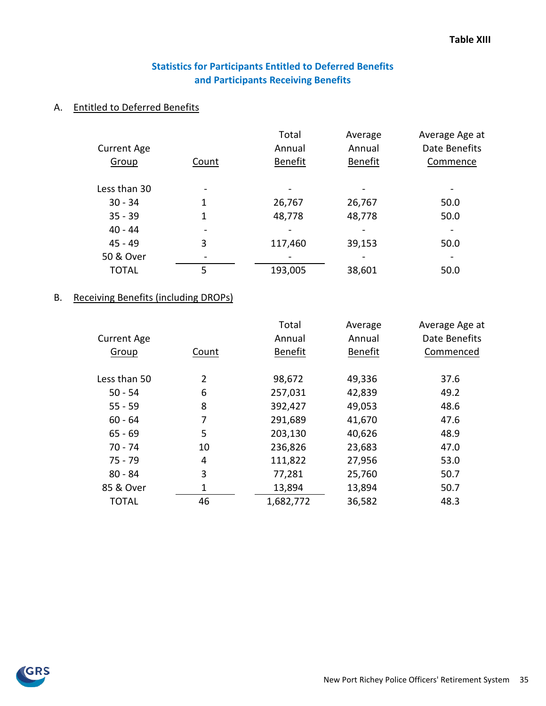## **Statistics for Participants Entitled to Deferred Benefits and Participants Receiving Benefits**

## A. Entitled to Deferred Benefits

|       | Total          | Average        | Average Age at               |
|-------|----------------|----------------|------------------------------|
|       | Annual         | Annual         | Date Benefits                |
| Count | <b>Benefit</b> | <b>Benefit</b> | Commence                     |
|       |                |                | $\qquad \qquad \blacksquare$ |
| 1     | 26,767         | 26,767         | 50.0                         |
| 1     | 48,778         | 48,778         | 50.0                         |
|       |                |                |                              |
| 3     | 117,460        | 39,153         | 50.0                         |
|       |                |                |                              |
| 5     | 193,005        | 38,601         | 50.0                         |
|       |                |                |                              |

## B. Receiving Benefits (including DROPs)

|       | Total          | Average           | Average Age at   |
|-------|----------------|-------------------|------------------|
|       | Annual         | Annual            | Date Benefits    |
| Count | <b>Benefit</b> | <b>Benefit</b>    | Commenced        |
|       |                |                   | 37.6             |
|       |                |                   |                  |
|       |                |                   | 49.2             |
| 8     | 392,427        | 49,053            | 48.6             |
| 7     | 291,689        | 41,670            | 47.6             |
| 5     | 203,130        | 40,626            | 48.9             |
| 10    | 236,826        | 23,683            | 47.0             |
| 4     | 111,822        | 27,956            | 53.0             |
| 3     | 77,281         | 25,760            | 50.7             |
| 1     | 13,894         | 13,894            | 50.7             |
| 46    | 1,682,772      | 36,582            | 48.3             |
|       | 2<br>6         | 98,672<br>257,031 | 49,336<br>42,839 |

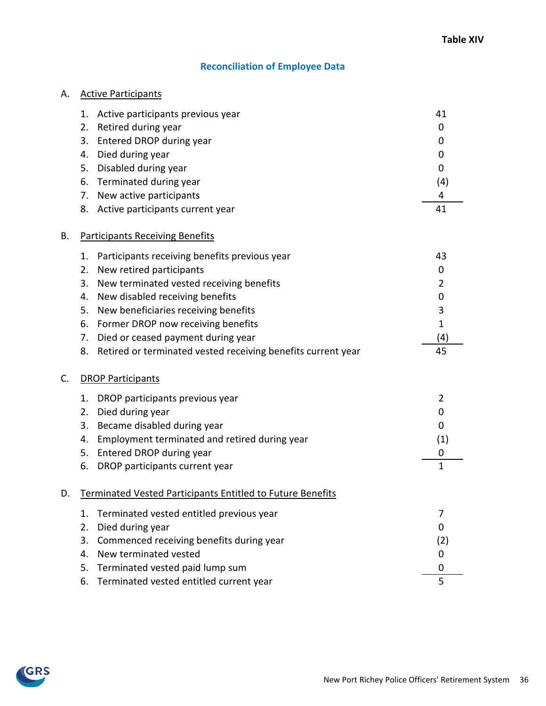## **Reconciliation of Employee Data**

| <b>Active Participants</b><br>А. |                                                                    |              |  |  |
|----------------------------------|--------------------------------------------------------------------|--------------|--|--|
|                                  | Active participants previous year<br>1.                            | 41           |  |  |
|                                  | 2.<br>Retired during year                                          | 0            |  |  |
|                                  | Entered DROP during year<br>3.                                     | 0            |  |  |
|                                  | Died during year<br>4.                                             | 0            |  |  |
|                                  | Disabled during year<br>5.                                         | 0            |  |  |
|                                  | 6. Terminated during year                                          | (4)          |  |  |
|                                  | 7. New active participants                                         | 4            |  |  |
|                                  | 8.<br>Active participants current year                             | 41           |  |  |
| В.                               | <b>Participants Receiving Benefits</b>                             |              |  |  |
|                                  | Participants receiving benefits previous year<br>1.                | 43           |  |  |
|                                  | New retired participants<br>2.                                     | 0            |  |  |
|                                  | New terminated vested receiving benefits<br>3.                     | 2            |  |  |
|                                  | New disabled receiving benefits<br>4.                              | 0            |  |  |
|                                  | New beneficiaries receiving benefits<br>5.                         | 3            |  |  |
|                                  | Former DROP now receiving benefits<br>6.                           | $\mathbf 1$  |  |  |
|                                  | Died or ceased payment during year<br>7.                           | (4)          |  |  |
|                                  | 8.<br>Retired or terminated vested receiving benefits current year | 45           |  |  |
| C.                               | <b>DROP Participants</b>                                           |              |  |  |
|                                  | DROP participants previous year<br>1.                              | 2            |  |  |
|                                  | Died during year<br>2.                                             | 0            |  |  |
|                                  | Became disabled during year<br>3.                                  | 0            |  |  |
|                                  | Employment terminated and retired during year<br>4.                | (1)          |  |  |
|                                  | Entered DROP during year<br>5.                                     | 0            |  |  |
|                                  | 6.<br>DROP participants current year                               | $\mathbf{1}$ |  |  |
| D.                               | Terminated Vested Participants Entitled to Future Benefits         |              |  |  |
|                                  | Terminated vested entitled previous year<br>1.                     | 7            |  |  |
|                                  | Died during year<br>2.                                             | 0            |  |  |
|                                  | Commenced receiving benefits during year<br>3.                     | (2)          |  |  |
|                                  | New terminated vested<br>4.                                        | O            |  |  |
|                                  | Terminated vested paid lump sum<br>5.                              | 0            |  |  |
|                                  | Terminated vested entitled current year<br>6.                      | 5            |  |  |

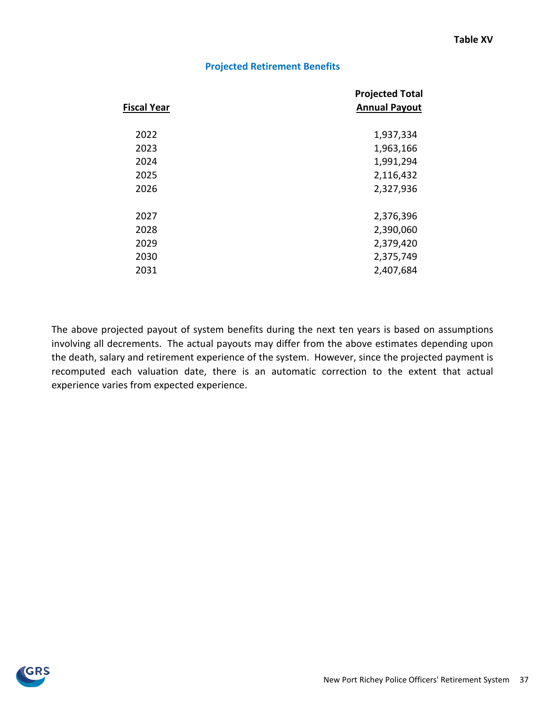#### **Projected Retirement Benefits**

|                    | <b>Projected Total</b> |
|--------------------|------------------------|
| <b>Fiscal Year</b> | <b>Annual Payout</b>   |
| 2022               | 1,937,334              |
| 2023               | 1,963,166              |
| 2024               | 1,991,294              |
| 2025               | 2,116,432              |
| 2026               | 2,327,936              |
| 2027               | 2,376,396              |
| 2028               | 2,390,060              |
| 2029               | 2,379,420              |
| 2030               | 2,375,749              |
| 2031               | 2,407,684              |

The above projected payout of system benefits during the next ten years is based on assumptions involving all decrements. The actual payouts may differ from the above estimates depending upon the death, salary and retirement experience of the system. However, since the projected payment is recomputed each valuation date, there is an automatic correction to the extent that actual experience varies from expected experience.

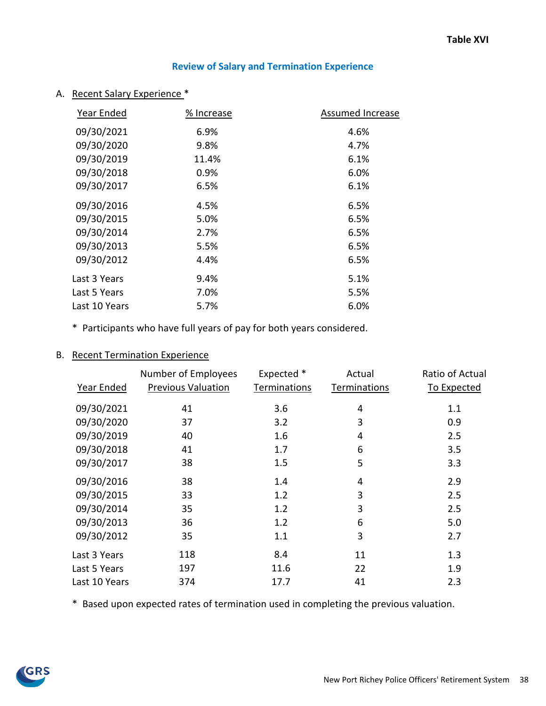## **Review of Salary and Termination Experience**

| Year Ended    | % Increase | <b>Assumed Increase</b> |
|---------------|------------|-------------------------|
| 09/30/2021    | 6.9%       | 4.6%                    |
| 09/30/2020    | 9.8%       | 4.7%                    |
| 09/30/2019    | 11.4%      | 6.1%                    |
| 09/30/2018    | 0.9%       | 6.0%                    |
| 09/30/2017    | 6.5%       | 6.1%                    |
| 09/30/2016    | 4.5%       | 6.5%                    |
| 09/30/2015    | 5.0%       | 6.5%                    |
| 09/30/2014    | 2.7%       | 6.5%                    |
| 09/30/2013    | 5.5%       | 6.5%                    |
| 09/30/2012    | 4.4%       | 6.5%                    |
| Last 3 Years  | 9.4%       | 5.1%                    |
| Last 5 Years  | 7.0%       | 5.5%                    |
| Last 10 Years | 5.7%       | 6.0%                    |

## A. Recent Salary Experience \*

\* Participants who have full years of pay for both years considered.

## B. Recent Termination Experience

|               | Number of Employees       | Expected *   | Actual       | Ratio of Actual |
|---------------|---------------------------|--------------|--------------|-----------------|
| Year Ended    | <b>Previous Valuation</b> | Terminations | Terminations | To Expected     |
| 09/30/2021    | 41                        | 3.6          | 4            | 1.1             |
| 09/30/2020    | 37                        | 3.2          | 3            | 0.9             |
| 09/30/2019    | 40                        | 1.6          | 4            | 2.5             |
| 09/30/2018    | 41                        | 1.7          | 6            | 3.5             |
| 09/30/2017    | 38                        | 1.5          | 5            | 3.3             |
| 09/30/2016    | 38                        | 1.4          | 4            | 2.9             |
| 09/30/2015    | 33                        | 1.2          | 3            | 2.5             |
| 09/30/2014    | 35                        | 1.2          | 3            | 2.5             |
| 09/30/2013    | 36                        | 1.2          | 6            | 5.0             |
| 09/30/2012    | 35                        | 1.1          | 3            | 2.7             |
| Last 3 Years  | 118                       | 8.4          | 11           | 1.3             |
| Last 5 Years  | 197                       | 11.6         | 22           | 1.9             |
| Last 10 Years | 374                       | 17.7         | 41           | 2.3             |

\* Based upon expected rates of termination used in completing the previous valuation.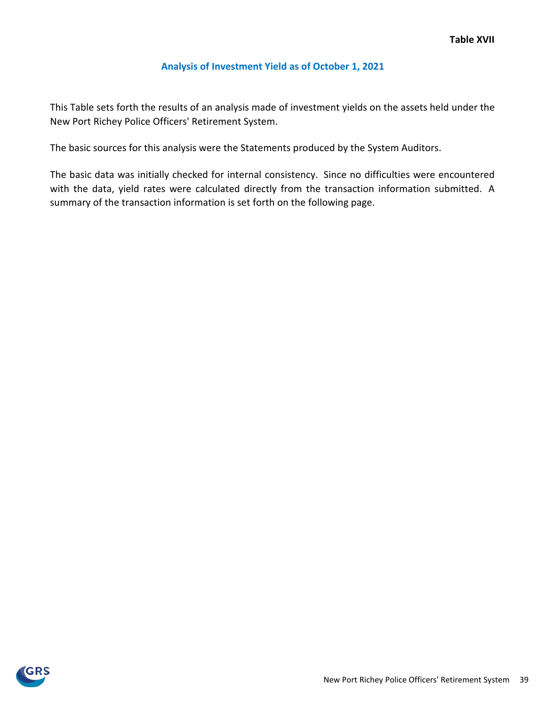## **Analysis of Investment Yield as of October 1, 2021**

This Table sets forth the results of an analysis made of investment yields on the assets held under the New Port Richey Police Officers' Retirement System.

The basic sources for this analysis were the Statements produced by the System Auditors.

The basic data was initially checked for internal consistency. Since no difficulties were encountered with the data, yield rates were calculated directly from the transaction information submitted. A summary of the transaction information is set forth on the following page.

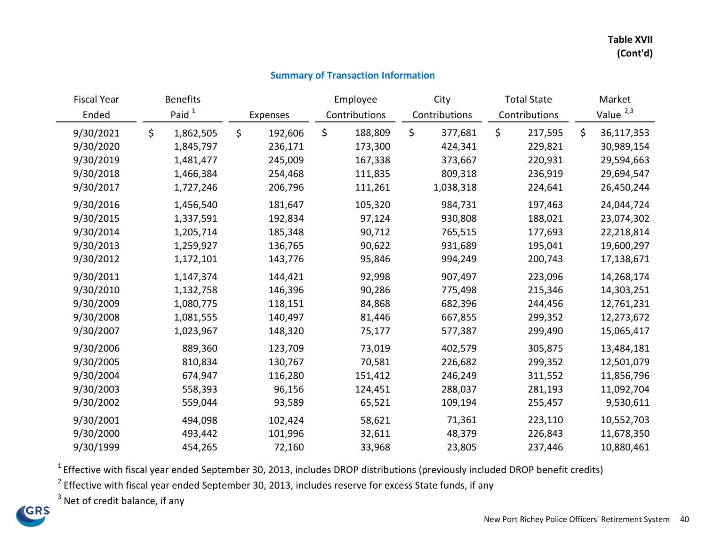## **Summary of Transaction Information**

| <b>Fiscal Year</b> | <b>Benefits</b> |               | Employee      | City          | <b>Total State</b> | Market           |
|--------------------|-----------------|---------------|---------------|---------------|--------------------|------------------|
| Ended              | Paid $1$        | Expenses      | Contributions | Contributions | Contributions      | Value $2,3$      |
| 9/30/2021          | \$<br>1,862,505 | \$<br>192,606 | \$<br>188,809 | \$<br>377,681 | \$<br>217,595      | \$<br>36,117,353 |
| 9/30/2020          | 1,845,797       | 236,171       | 173,300       | 424,341       | 229,821            | 30,989,154       |
| 9/30/2019          | 1,481,477       | 245,009       | 167,338       | 373,667       | 220,931            | 29,594,663       |
| 9/30/2018          | 1,466,384       | 254,468       | 111,835       | 809,318       | 236,919            | 29,694,547       |
| 9/30/2017          | 1,727,246       | 206,796       | 111,261       | 1,038,318     | 224,641            | 26,450,244       |
| 9/30/2016          | 1,456,540       | 181,647       | 105,320       | 984,731       | 197,463            | 24,044,724       |
| 9/30/2015          | 1,337,591       | 192,834       | 97,124        | 930,808       | 188,021            | 23,074,302       |
| 9/30/2014          | 1,205,714       | 185,348       | 90,712        | 765,515       | 177,693            | 22,218,814       |
| 9/30/2013          | 1,259,927       | 136,765       | 90,622        | 931,689       | 195,041            | 19,600,297       |
| 9/30/2012          | 1,172,101       | 143,776       | 95,846        | 994,249       | 200,743            | 17,138,671       |
| 9/30/2011          | 1,147,374       | 144,421       | 92,998        | 907,497       | 223,096            | 14,268,174       |
| 9/30/2010          | 1,132,758       | 146,396       | 90,286        | 775,498       | 215,346            | 14,303,251       |
| 9/30/2009          | 1,080,775       | 118,151       | 84,868        | 682,396       | 244,456            | 12,761,231       |
| 9/30/2008          | 1,081,555       | 140,497       | 81,446        | 667,855       | 299,352            | 12,273,672       |
| 9/30/2007          | 1,023,967       | 148,320       | 75,177        | 577,387       | 299,490            | 15,065,417       |
| 9/30/2006          | 889,360         | 123,709       | 73,019        | 402,579       | 305,875            | 13,484,181       |
| 9/30/2005          | 810,834         | 130,767       | 70,581        | 226,682       | 299,352            | 12,501,079       |
| 9/30/2004          | 674,947         | 116,280       | 151,412       | 246,249       | 311,552            | 11,856,796       |
| 9/30/2003          | 558,393         | 96,156        | 124,451       | 288,037       | 281,193            | 11,092,704       |
| 9/30/2002          | 559,044         | 93,589        | 65,521        | 109,194       | 255,457            | 9,530,611        |
| 9/30/2001          | 494,098         | 102,424       | 58,621        | 71,361        | 223,110            | 10,552,703       |
| 9/30/2000          | 493,442         | 101,996       | 32,611        | 48,379        | 226,843            | 11,678,350       |
| 9/30/1999          | 454,265         | 72,160        | 33,968        | 23,805        | 237,446            | 10,880,461       |

 $1$  Effective with fiscal year ended September 30, 2013, includes DROP distributions (previously included DROP benefit credits)

 $2$  Effective with fiscal year ended September 30, 2013, includes reserve for excess State funds, if any

 $3$  Net of credit balance, if any

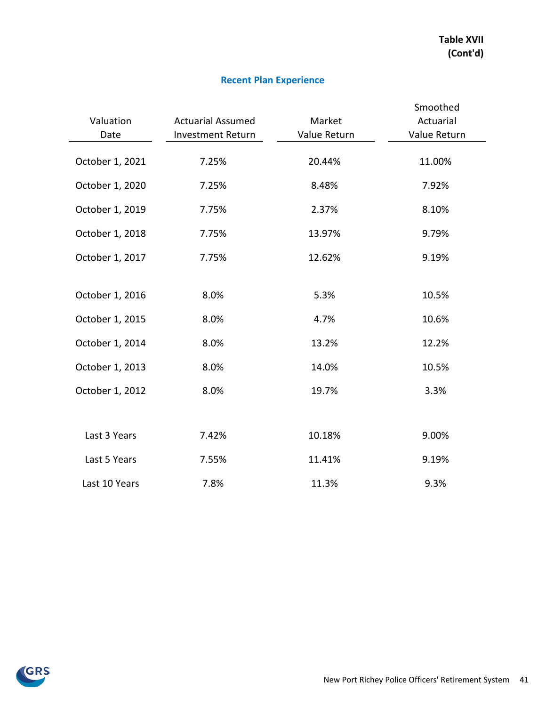## **Recent Plan Experience**

| Valuation<br>Date | <b>Actuarial Assumed</b><br><b>Investment Return</b> | Market<br>Value Return | Smoothed<br>Actuarial<br>Value Return |
|-------------------|------------------------------------------------------|------------------------|---------------------------------------|
|                   |                                                      |                        |                                       |
| October 1, 2021   | 7.25%                                                | 20.44%                 | 11.00%                                |
| October 1, 2020   | 7.25%                                                | 8.48%                  | 7.92%                                 |
| October 1, 2019   | 7.75%                                                | 2.37%                  | 8.10%                                 |
| October 1, 2018   | 7.75%                                                | 13.97%                 | 9.79%                                 |
| October 1, 2017   | 7.75%                                                | 12.62%                 | 9.19%                                 |
|                   |                                                      |                        |                                       |
| October 1, 2016   | 8.0%                                                 | 5.3%                   | 10.5%                                 |
| October 1, 2015   | 8.0%                                                 | 4.7%                   | 10.6%                                 |
| October 1, 2014   | 8.0%                                                 | 13.2%                  | 12.2%                                 |
| October 1, 2013   | 8.0%                                                 | 14.0%                  | 10.5%                                 |
| October 1, 2012   | 8.0%                                                 | 19.7%                  | 3.3%                                  |
|                   |                                                      |                        |                                       |
| Last 3 Years      | 7.42%                                                | 10.18%                 | 9.00%                                 |
| Last 5 Years      | 7.55%                                                | 11.41%                 | 9.19%                                 |
| Last 10 Years     | 7.8%                                                 | 11.3%                  | 9.3%                                  |

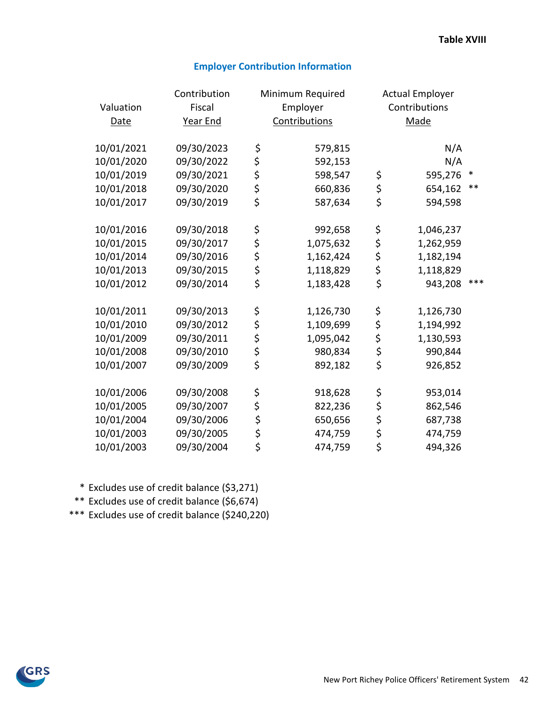| Contribution     |            | Minimum Required |           | <b>Actual Employer</b> |               |     |  |  |
|------------------|------------|------------------|-----------|------------------------|---------------|-----|--|--|
| Valuation        | Fiscal     | Employer         |           |                        | Contributions |     |  |  |
| Year End<br>Date |            | Contributions    |           | Made                   |               |     |  |  |
| 10/01/2021       | 09/30/2023 | \$               | 579,815   |                        | N/A           |     |  |  |
| 10/01/2020       | 09/30/2022 | \$               | 592,153   |                        | N/A           |     |  |  |
| 10/01/2019       | 09/30/2021 | \$               | 598,547   | \$                     | 595,276       | ∗   |  |  |
| 10/01/2018       | 09/30/2020 | \$               | 660,836   | \$                     | 654,162       | **  |  |  |
| 10/01/2017       | 09/30/2019 | \$               | 587,634   | \$                     | 594,598       |     |  |  |
| 10/01/2016       | 09/30/2018 | \$               | 992,658   | \$                     | 1,046,237     |     |  |  |
| 10/01/2015       | 09/30/2017 | \$               | 1,075,632 | \$                     | 1,262,959     |     |  |  |
| 10/01/2014       | 09/30/2016 | \$               | 1,162,424 | \$                     | 1,182,194     |     |  |  |
| 10/01/2013       | 09/30/2015 | \$               | 1,118,829 | \$                     | 1,118,829     |     |  |  |
| 10/01/2012       | 09/30/2014 | \$               | 1,183,428 | \$                     | 943,208       | *** |  |  |
| 10/01/2011       | 09/30/2013 | \$               | 1,126,730 | \$                     | 1,126,730     |     |  |  |
| 10/01/2010       | 09/30/2012 | \$               | 1,109,699 | \$                     | 1,194,992     |     |  |  |
| 10/01/2009       | 09/30/2011 | \$               | 1,095,042 | \$                     | 1,130,593     |     |  |  |
| 10/01/2008       | 09/30/2010 | \$               | 980,834   | \$                     | 990,844       |     |  |  |
| 10/01/2007       | 09/30/2009 | \$               | 892,182   | \$                     | 926,852       |     |  |  |
| 10/01/2006       | 09/30/2008 | \$               | 918,628   | \$                     | 953,014       |     |  |  |
| 10/01/2005       | 09/30/2007 | \$               | 822,236   | \$                     | 862,546       |     |  |  |
| 10/01/2004       | 09/30/2006 | \$               | 650,656   | \$                     | 687,738       |     |  |  |
| 10/01/2003       | 09/30/2005 | \$               | 474,759   | \$                     | 474,759       |     |  |  |
| 10/01/2003       | 09/30/2004 | \$               | 474,759   | \$                     | 494,326       |     |  |  |

## **Employer Contribution Information**

\* Excludes use of credit balance (\$3,271)

\*\* Excludes use of credit balance (\$6,674)

\*\*\* Excludes use of credit balance (\$240,220)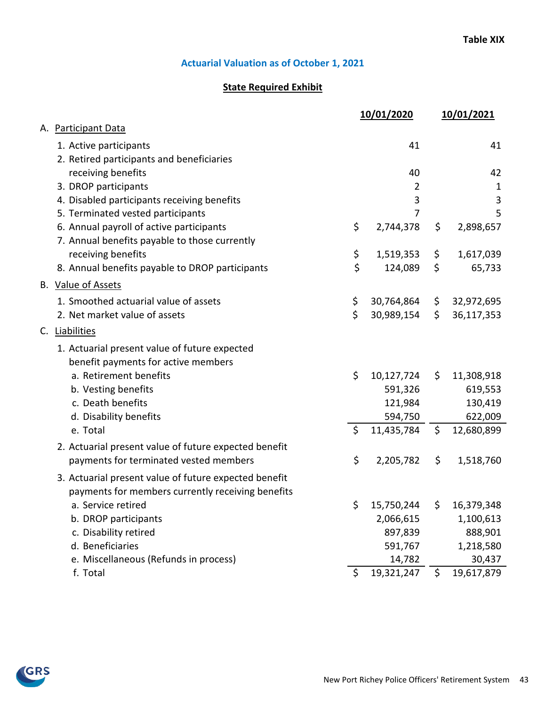## **Actuarial Valuation as of October 1, 2021**

## **State Required Exhibit**

|                                                       | 10/01/2020       | 10/01/2021 |            |  |
|-------------------------------------------------------|------------------|------------|------------|--|
| A. Participant Data                                   |                  |            |            |  |
| 1. Active participants                                | 41               |            | 41         |  |
| 2. Retired participants and beneficiaries             |                  |            |            |  |
| receiving benefits                                    | 40               |            | 42         |  |
| 3. DROP participants                                  | $\overline{2}$   |            | 1          |  |
| 4. Disabled participants receiving benefits           | 3                |            | 3          |  |
| 5. Terminated vested participants                     | 7                |            | 5          |  |
| 6. Annual payroll of active participants              | \$<br>2,744,378  | \$         | 2,898,657  |  |
| 7. Annual benefits payable to those currently         |                  |            |            |  |
| receiving benefits                                    | \$<br>1,519,353  | \$         | 1,617,039  |  |
| 8. Annual benefits payable to DROP participants       | \$<br>124,089    | \$         | 65,733     |  |
| B. Value of Assets                                    |                  |            |            |  |
| 1. Smoothed actuarial value of assets                 | \$<br>30,764,864 | \$         | 32,972,695 |  |
| 2. Net market value of assets                         | \$<br>30,989,154 | $\zeta$    | 36,117,353 |  |
| C. Liabilities                                        |                  |            |            |  |
| 1. Actuarial present value of future expected         |                  |            |            |  |
| benefit payments for active members                   |                  |            |            |  |
| a. Retirement benefits                                | \$<br>10,127,724 | \$         | 11,308,918 |  |
| b. Vesting benefits                                   | 591,326          |            | 619,553    |  |
| c. Death benefits                                     | 121,984          |            | 130,419    |  |
| d. Disability benefits                                | 594,750          |            | 622,009    |  |
| e. Total                                              | \$<br>11,435,784 | \$         | 12,680,899 |  |
| 2. Actuarial present value of future expected benefit |                  |            |            |  |
| payments for terminated vested members                | \$<br>2,205,782  | \$         | 1,518,760  |  |
| 3. Actuarial present value of future expected benefit |                  |            |            |  |
| payments for members currently receiving benefits     |                  |            |            |  |
| a. Service retired                                    | \$<br>15,750,244 | \$         | 16,379,348 |  |
| b. DROP participants                                  | 2,066,615        |            | 1,100,613  |  |
| c. Disability retired                                 | 897,839          |            | 888,901    |  |
| d. Beneficiaries                                      | 591,767          |            | 1,218,580  |  |
| e. Miscellaneous (Refunds in process)                 | 14,782           |            | 30,437     |  |
| f. Total                                              | \$<br>19,321,247 | \$         | 19,617,879 |  |

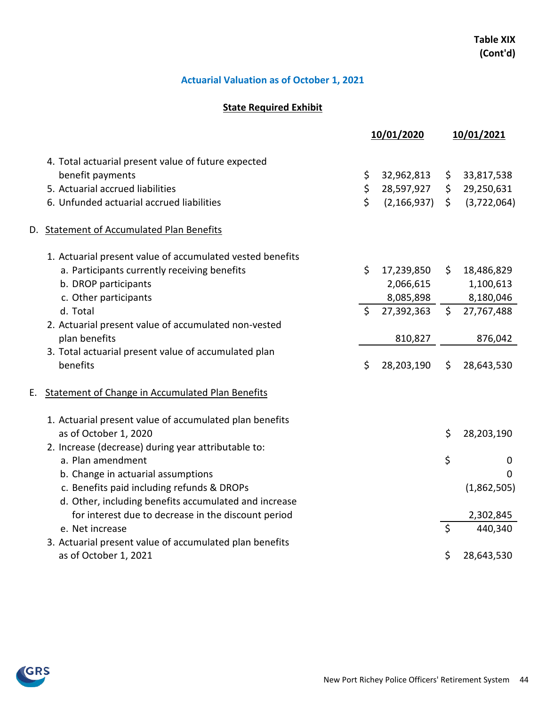## **Actuarial Valuation as of October 1, 2021**

## **State Required Exhibit**

|    |                                                           |                    | 10/01/2020    | 10/01/2021         |             |
|----|-----------------------------------------------------------|--------------------|---------------|--------------------|-------------|
|    | 4. Total actuarial present value of future expected       |                    |               |                    |             |
|    | benefit payments                                          | \$                 | 32,962,813    | \$                 | 33,817,538  |
|    | 5. Actuarial accrued liabilities                          | \$                 | 28,597,927    | $\ddot{\varsigma}$ | 29,250,631  |
|    | 6. Unfunded actuarial accrued liabilities                 | \$                 | (2, 166, 937) | \$                 | (3,722,064) |
|    | D. Statement of Accumulated Plan Benefits                 |                    |               |                    |             |
|    | 1. Actuarial present value of accumulated vested benefits |                    |               |                    |             |
|    | a. Participants currently receiving benefits              | \$                 | 17,239,850    | \$                 | 18,486,829  |
|    | b. DROP participants                                      |                    | 2,066,615     |                    | 1,100,613   |
|    | c. Other participants                                     |                    | 8,085,898     |                    | 8,180,046   |
|    | d. Total                                                  | $\mathsf{\dot{S}}$ | 27,392,363    | $\zeta$            | 27,767,488  |
|    | 2. Actuarial present value of accumulated non-vested      |                    |               |                    |             |
|    | plan benefits                                             |                    | 810,827       |                    | 876,042     |
|    | 3. Total actuarial present value of accumulated plan      |                    |               |                    |             |
|    | benefits                                                  | \$                 | 28,203,190    | \$                 | 28,643,530  |
| Е. | <b>Statement of Change in Accumulated Plan Benefits</b>   |                    |               |                    |             |
|    | 1. Actuarial present value of accumulated plan benefits   |                    |               |                    |             |
|    | as of October 1, 2020                                     |                    |               | \$                 | 28,203,190  |
|    | 2. Increase (decrease) during year attributable to:       |                    |               |                    |             |
|    | a. Plan amendment                                         |                    |               | \$                 | 0           |
|    | b. Change in actuarial assumptions                        |                    |               |                    | 0           |
|    | c. Benefits paid including refunds & DROPs                |                    |               |                    | (1,862,505) |
|    | d. Other, including benefits accumulated and increase     |                    |               |                    |             |
|    | for interest due to decrease in the discount period       |                    |               |                    | 2,302,845   |
|    | e. Net increase                                           |                    |               | \$                 | 440,340     |
|    | 3. Actuarial present value of accumulated plan benefits   |                    |               |                    |             |
|    | as of October 1, 2021                                     |                    |               | \$                 | 28,643,530  |

GRS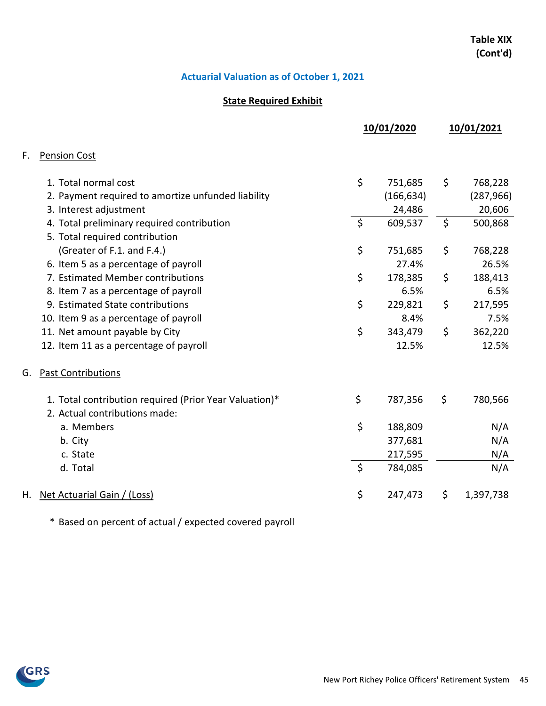## **Table XIX (Cont'd)**

## **Actuarial Valuation as of October 1, 2021**

## **State Required Exhibit**

|    |                                                        | 10/01/2020 |            | 10/01/2021      |  |
|----|--------------------------------------------------------|------------|------------|-----------------|--|
| F. | <b>Pension Cost</b>                                    |            |            |                 |  |
|    | 1. Total normal cost                                   | \$         | 751,685    | \$<br>768,228   |  |
|    | 2. Payment required to amortize unfunded liability     |            | (166, 634) | (287, 966)      |  |
|    | 3. Interest adjustment                                 |            | 24,486     | 20,606          |  |
|    | 4. Total preliminary required contribution             | \$         | 609,537    | \$<br>500,868   |  |
|    | 5. Total required contribution                         |            |            |                 |  |
|    | (Greater of F.1. and F.4.)                             | \$         | 751,685    | \$<br>768,228   |  |
|    | 6. Item 5 as a percentage of payroll                   |            | 27.4%      | 26.5%           |  |
|    | 7. Estimated Member contributions                      | \$         | 178,385    | \$<br>188,413   |  |
|    | 8. Item 7 as a percentage of payroll                   |            | 6.5%       | 6.5%            |  |
|    | 9. Estimated State contributions                       | \$         | 229,821    | \$<br>217,595   |  |
|    | 10. Item 9 as a percentage of payroll                  |            | 8.4%       | 7.5%            |  |
|    | 11. Net amount payable by City                         | \$         | 343,479    | \$<br>362,220   |  |
|    | 12. Item 11 as a percentage of payroll                 |            | 12.5%      | 12.5%           |  |
| G. | <b>Past Contributions</b>                              |            |            |                 |  |
|    | 1. Total contribution required (Prior Year Valuation)* | \$         | 787,356    | \$<br>780,566   |  |
|    | 2. Actual contributions made:                          |            |            |                 |  |
|    | a. Members                                             | \$         | 188,809    | N/A             |  |
|    | b. City                                                |            | 377,681    | N/A             |  |
|    | c. State                                               |            | 217,595    | N/A             |  |
|    | d. Total                                               | \$         | 784,085    | N/A             |  |
| Н. | Net Actuarial Gain / (Loss)                            | \$         | 247,473    | \$<br>1,397,738 |  |

\* Based on percent of actual / expected covered payroll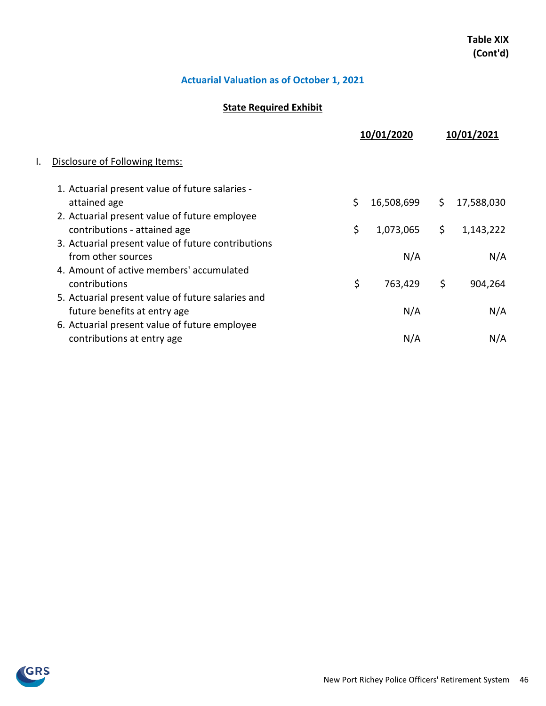## **Actuarial Valuation as of October 1, 2021**

## **State Required Exhibit**

|    |                                                    | 10/01/2020       | 10/01/2021       |
|----|----------------------------------------------------|------------------|------------------|
| I. | Disclosure of Following Items:                     |                  |                  |
|    | 1. Actuarial present value of future salaries -    |                  |                  |
|    | attained age                                       | \$<br>16,508,699 | \$<br>17,588,030 |
|    | 2. Actuarial present value of future employee      |                  |                  |
|    | contributions - attained age                       | \$<br>1,073,065  | \$<br>1,143,222  |
|    | 3. Actuarial present value of future contributions |                  |                  |
|    | from other sources                                 | N/A              | N/A              |
|    | 4. Amount of active members' accumulated           |                  |                  |
|    | contributions                                      | \$<br>763,429    | \$<br>904,264    |
|    | 5. Actuarial present value of future salaries and  |                  |                  |
|    | future benefits at entry age                       | N/A              | N/A              |
|    | 6. Actuarial present value of future employee      |                  |                  |
|    | contributions at entry age                         | N/A              | N/A              |
|    |                                                    |                  |                  |

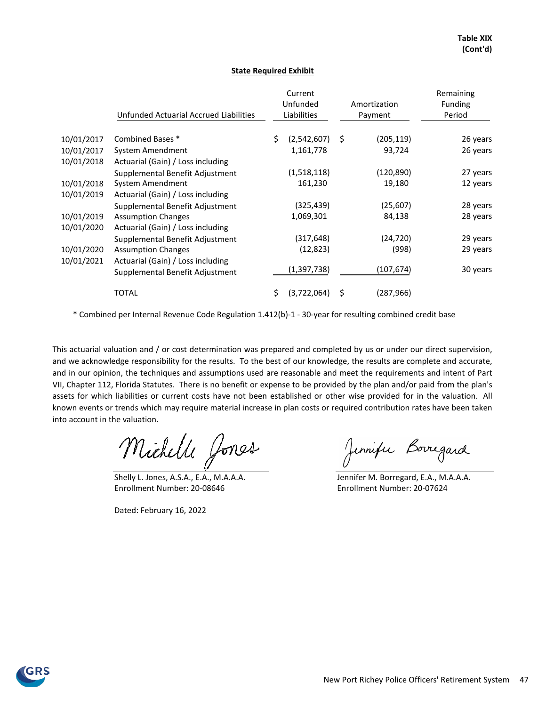#### **State Required Exhibit**

|            | Unfunded Actuarial Accrued Liabilities |    | Current<br>Unfunded<br>Liabilities |     | Amortization<br>Payment | Remaining<br><b>Funding</b><br>Period |  |
|------------|----------------------------------------|----|------------------------------------|-----|-------------------------|---------------------------------------|--|
| 10/01/2017 | Combined Bases *                       | Ś. | (2,542,607)                        | -\$ | (205, 119)              | 26 years                              |  |
| 10/01/2017 | System Amendment                       |    | 1,161,778                          |     | 93,724                  | 26 years                              |  |
| 10/01/2018 | Actuarial (Gain) / Loss including      |    |                                    |     |                         |                                       |  |
|            | Supplemental Benefit Adjustment        |    | (1,518,118)                        |     | (120,890)               | 27 years                              |  |
| 10/01/2018 | System Amendment                       |    | 161,230                            |     | 19,180                  | 12 years                              |  |
| 10/01/2019 | Actuarial (Gain) / Loss including      |    |                                    |     |                         |                                       |  |
|            | Supplemental Benefit Adjustment        |    | (325,439)                          |     | (25,607)                | 28 years                              |  |
| 10/01/2019 | <b>Assumption Changes</b>              |    | 1,069,301                          |     | 84,138                  | 28 years                              |  |
| 10/01/2020 | Actuarial (Gain) / Loss including      |    |                                    |     |                         |                                       |  |
|            | Supplemental Benefit Adjustment        |    | (317,648)                          |     | (24, 720)               | 29 years                              |  |
| 10/01/2020 | <b>Assumption Changes</b>              |    | (12, 823)                          |     | (998)                   | 29 years                              |  |
| 10/01/2021 | Actuarial (Gain) / Loss including      |    |                                    |     |                         |                                       |  |
|            | Supplemental Benefit Adjustment        |    | (1, 397, 738)                      |     | (107,674)               | 30 years                              |  |
|            | <b>TOTAL</b>                           | Ś  | (3,722,064)                        | \$  | (287,966)               |                                       |  |

\* Combined per Internal Revenue Code Regulation 1.412(b)-1 - 30-year for resulting combined credit base

This actuarial valuation and / or cost determination was prepared and completed by us or under our direct supervision, and we acknowledge responsibility for the results. To the best of our knowledge, the results are complete and accurate, and in our opinion, the techniques and assumptions used are reasonable and meet the requirements and intent of Part VII, Chapter 112, Florida Statutes. There is no benefit or expense to be provided by the plan and/or paid from the plan's assets for which liabilities or current costs have not been established or other wise provided for in the valuation. All known events or trends which may require material increase in plan costs or required contribution rates have been taken into account in the valuation.

Michelle Jones

Enrollment Number: 20-08646 Enrollment Number: 20-07624

Dated: February 16, 2022

Jennifer Borregard

Shelly L. Jones, A.S.A., E.A., M.A.A.A. Jennifer M. Borregard, E.A., M.A.A.A.

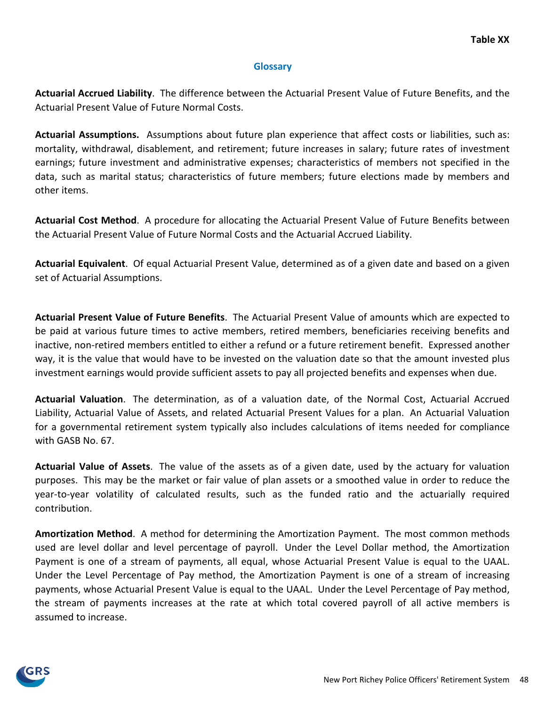## **Glossary**

**Actuarial Accrued Liability**. The difference between the Actuarial Present Value of Future Benefits, and the Actuarial Present Value of Future Normal Costs.

**Actuarial Assumptions.** Assumptions about future plan experience that affect costs or liabilities, such as: mortality, withdrawal, disablement, and retirement; future increases in salary; future rates of investment earnings; future investment and administrative expenses; characteristics of members not specified in the data, such as marital status; characteristics of future members; future elections made by members and other items.

**Actuarial Cost Method**. A procedure for allocating the Actuarial Present Value of Future Benefits between the Actuarial Present Value of Future Normal Costs and the Actuarial Accrued Liability.

**Actuarial Equivalent**. Of equal Actuarial Present Value, determined as of a given date and based on a given set of Actuarial Assumptions.

**Actuarial Present Value of Future Benefits**. The Actuarial Present Value of amounts which are expected to be paid at various future times to active members, retired members, beneficiaries receiving benefits and inactive, non-retired members entitled to either a refund or a future retirement benefit. Expressed another way, it is the value that would have to be invested on the valuation date so that the amount invested plus investment earnings would provide sufficient assets to pay all projected benefits and expenses when due.

**Actuarial Valuation**. The determination, as of a valuation date, of the Normal Cost, Actuarial Accrued Liability, Actuarial Value of Assets, and related Actuarial Present Values for a plan. An Actuarial Valuation for a governmental retirement system typically also includes calculations of items needed for compliance with GASB No. 67.

**Actuarial Value of Assets**. The value of the assets as of a given date, used by the actuary for valuation purposes. This may be the market or fair value of plan assets or a smoothed value in order to reduce the year-to-year volatility of calculated results, such as the funded ratio and the actuarially required contribution.

**Amortization Method**. A method for determining the Amortization Payment. The most common methods used are level dollar and level percentage of payroll. Under the Level Dollar method, the Amortization Payment is one of a stream of payments, all equal, whose Actuarial Present Value is equal to the UAAL. Under the Level Percentage of Pay method, the Amortization Payment is one of a stream of increasing payments, whose Actuarial Present Value is equal to the UAAL. Under the Level Percentage of Pay method, the stream of payments increases at the rate at which total covered payroll of all active members is assumed to increase.

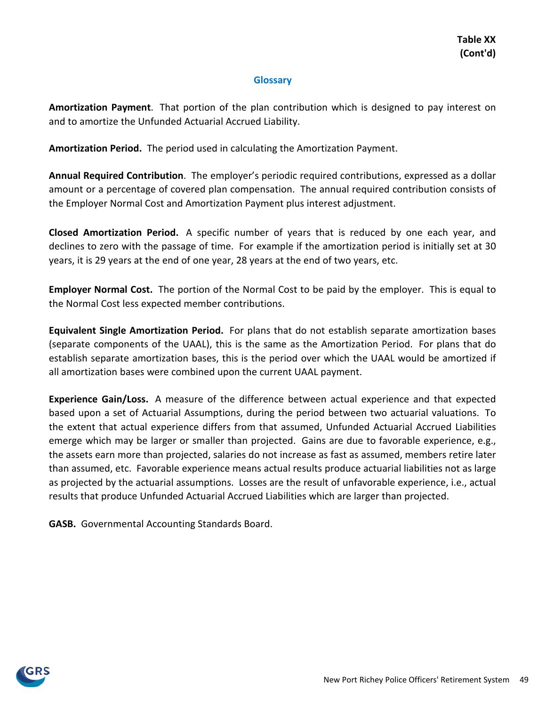## **Glossary**

**Amortization Payment**. That portion of the plan contribution which is designed to pay interest on and to amortize the Unfunded Actuarial Accrued Liability.

**Amortization Period.** The period used in calculating the Amortization Payment.

**Annual Required Contribution**. The employer's periodic required contributions, expressed as a dollar amount or a percentage of covered plan compensation. The annual required contribution consists of the Employer Normal Cost and Amortization Payment plus interest adjustment.

**Closed Amortization Period.** A specific number of years that is reduced by one each year, and declines to zero with the passage of time. For example if the amortization period is initially set at 30 years, it is 29 years at the end of one year, 28 years at the end of two years, etc.

**Employer Normal Cost.** The portion of the Normal Cost to be paid by the employer. This is equal to the Normal Cost less expected member contributions.

**Equivalent Single Amortization Period.** For plans that do not establish separate amortization bases (separate components of the UAAL), this is the same as the Amortization Period. For plans that do establish separate amortization bases, this is the period over which the UAAL would be amortized if all amortization bases were combined upon the current UAAL payment.

**Experience Gain/Loss.** A measure of the difference between actual experience and that expected based upon a set of Actuarial Assumptions, during the period between two actuarial valuations. To the extent that actual experience differs from that assumed, Unfunded Actuarial Accrued Liabilities emerge which may be larger or smaller than projected. Gains are due to favorable experience, e.g., the assets earn more than projected, salaries do not increase as fast as assumed, members retire later than assumed, etc. Favorable experience means actual results produce actuarial liabilities not as large as projected by the actuarial assumptions. Losses are the result of unfavorable experience, i.e., actual results that produce Unfunded Actuarial Accrued Liabilities which are larger than projected.

**GASB.** Governmental Accounting Standards Board.